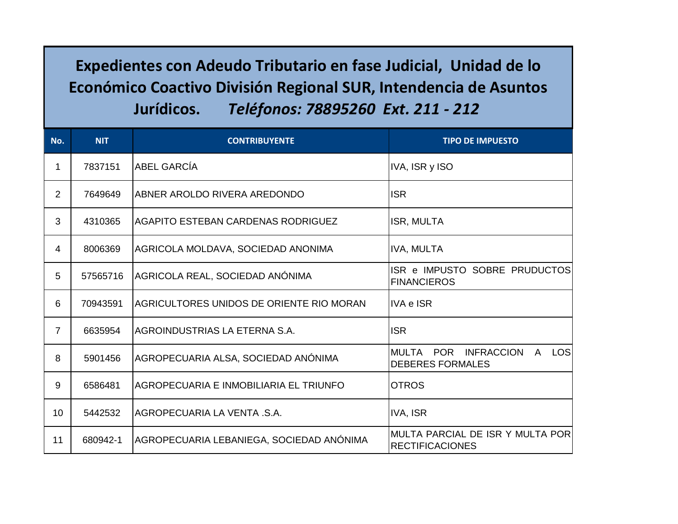## **Expedientes con Adeudo Tributario en fase Judicial, Unidad de lo Económico Coactivo División Regional SUR, Intendencia de Asuntos Jurídicos.** *Teléfonos: 78895260 Ext. 211 - 212*

| $N$ o.         | <b>NIT</b> | <b>CONTRIBUYENTE</b>                     | <b>TIPO DE IMPUESTO</b>                                                           |
|----------------|------------|------------------------------------------|-----------------------------------------------------------------------------------|
| 1              | 7837151    | <b>ABEL GARCÍA</b>                       | IVA, ISR y ISO                                                                    |
| $\overline{2}$ | 7649649    | ABNER AROLDO RIVERA AREDONDO             | <b>ISR</b>                                                                        |
| 3              | 4310365    | AGAPITO ESTEBAN CARDENAS RODRIGUEZ       | ISR, MULTA                                                                        |
| 4              | 8006369    | AGRICOLA MOLDAVA, SOCIEDAD ANONIMA       | IVA, MULTA                                                                        |
| 5              | 57565716   | AGRICOLA REAL, SOCIEDAD ANÓNIMA          | ISR e IMPUSTO SOBRE PRUDUCTOS<br><b>FINANCIEROS</b>                               |
| 6              | 70943591   | AGRICULTORES UNIDOS DE ORIENTE RIO MORAN | <b>IVA e ISR</b>                                                                  |
| $\overline{7}$ | 6635954    | AGROINDUSTRIAS LA ETERNA S.A.            | <b>ISR</b>                                                                        |
| 8              | 5901456    | AGROPECUARIA ALSA, SOCIEDAD ANÓNIMA      | MULTA POR<br><b>INFRACCION</b><br>LOSI<br>$\mathsf{A}$<br><b>DEBERES FORMALES</b> |
| 9              | 6586481    | AGROPECUARIA E INMOBILIARIA EL TRIUNFO   | <b>OTROS</b>                                                                      |
| 10             | 5442532    | AGROPECUARIA LA VENTA .S.A.              | IVA, ISR                                                                          |
| 11             | 680942-1   | AGROPECUARIA LEBANIEGA, SOCIEDAD ANÓNIMA | MULTA PARCIAL DE ISR Y MULTA POR<br><b>RECTIFICACIONES</b>                        |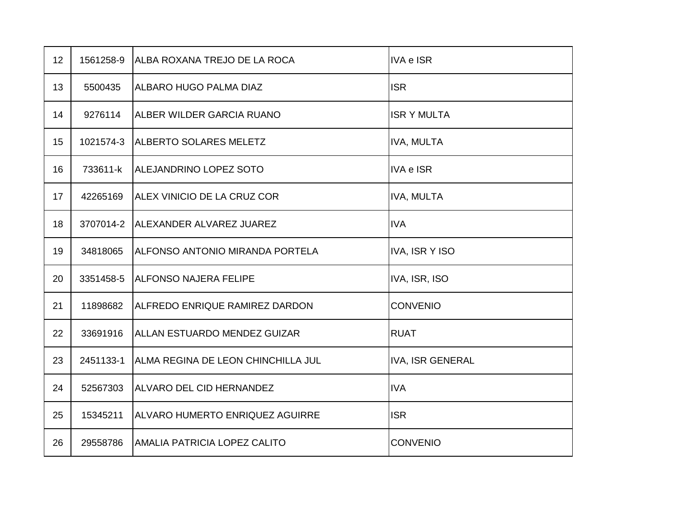| 12 | 1561258-9 | ALBA ROXANA TREJO DE LA ROCA           | <b>IVA e ISR</b>        |
|----|-----------|----------------------------------------|-------------------------|
| 13 | 5500435   | <b>ALBARO HUGO PALMA DIAZ</b>          | <b>ISR</b>              |
| 14 | 9276114   | ALBER WILDER GARCIA RUANO              | <b>ISR Y MULTA</b>      |
| 15 | 1021574-3 | <b>ALBERTO SOLARES MELETZ</b>          | <b>IVA, MULTA</b>       |
| 16 | 733611-k  | ALEJANDRINO LOPEZ SOTO                 | <b>IVA e ISR</b>        |
| 17 | 42265169  | ALEX VINICIO DE LA CRUZ COR            | <b>IVA, MULTA</b>       |
| 18 | 3707014-2 | ALEXANDER ALVAREZ JUAREZ               | <b>IVA</b>              |
| 19 | 34818065  | IALFONSO ANTONIO MIRANDA PORTELA       | <b>IVA, ISR Y ISO</b>   |
| 20 | 3351458-5 | <b>ALFONSO NAJERA FELIPE</b>           | IVA, ISR, ISO           |
| 21 | 11898682  | ALFREDO ENRIQUE RAMIREZ DARDON         | <b>CONVENIO</b>         |
| 22 | 33691916  | <b>ALLAN ESTUARDO MENDEZ GUIZAR</b>    | <b>RUAT</b>             |
| 23 | 2451133-1 | ALMA REGINA DE LEON CHINCHILLA JUL     | <b>IVA, ISR GENERAL</b> |
| 24 | 52567303  | <b>ALVARO DEL CID HERNANDEZ</b>        | <b>IVA</b>              |
| 25 | 15345211  | <b>ALVARO HUMERTO ENRIQUEZ AGUIRRE</b> | <b>ISR</b>              |
| 26 | 29558786  | AMALIA PATRICIA LOPEZ CALITO           | <b>CONVENIO</b>         |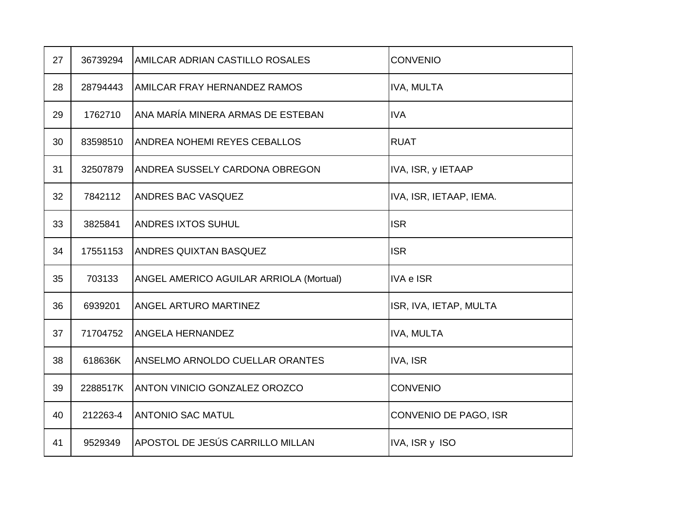| 27 | 36739294 | AMILCAR ADRIAN CASTILLO ROSALES         | <b>CONVENIO</b>         |
|----|----------|-----------------------------------------|-------------------------|
| 28 | 28794443 | AMILCAR FRAY HERNANDEZ RAMOS            | <b>IVA, MULTA</b>       |
| 29 | 1762710  | ANA MARÍA MINERA ARMAS DE ESTEBAN       | <b>IVA</b>              |
| 30 | 83598510 | <b>ANDREA NOHEMI REYES CEBALLOS</b>     | <b>RUAT</b>             |
| 31 | 32507879 | ANDREA SUSSELY CARDONA OBREGON          | IVA, ISR, y IETAAP      |
| 32 | 7842112  | ANDRES BAC VASQUEZ                      | IVA, ISR, IETAAP, IEMA. |
| 33 | 3825841  | <b>ANDRES IXTOS SUHUL</b>               | <b>ISR</b>              |
| 34 | 17551153 | <b>ANDRES QUIXTAN BASQUEZ</b>           | <b>ISR</b>              |
| 35 | 703133   | ANGEL AMERICO AGUILAR ARRIOLA (Mortual) | <b>IVA e ISR</b>        |
| 36 | 6939201  | ANGEL ARTURO MARTINEZ                   | ISR, IVA, IETAP, MULTA  |
| 37 | 71704752 | <b>ANGELA HERNANDEZ</b>                 | IVA, MULTA              |
| 38 | 618636K  | ANSELMO ARNOLDO CUELLAR ORANTES         | IVA, ISR                |
| 39 | 2288517K | <b>ANTON VINICIO GONZALEZ OROZCO</b>    | <b>CONVENIO</b>         |
| 40 | 212263-4 | <b>ANTONIO SAC MATUL</b>                | CONVENIO DE PAGO, ISR   |
| 41 | 9529349  | APOSTOL DE JESÚS CARRILLO MILLAN        | IVA, ISR y ISO          |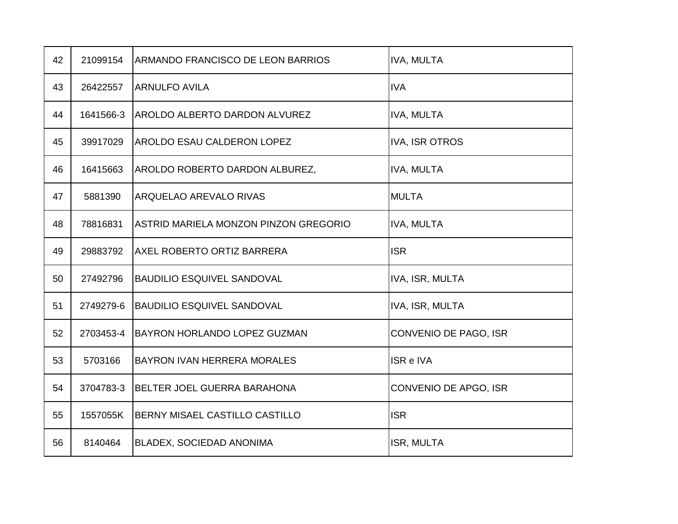| 42 | 21099154  | ARMANDO FRANCISCO DE LEON BARRIOS     | <b>IVA, MULTA</b>     |
|----|-----------|---------------------------------------|-----------------------|
| 43 | 26422557  | <b>ARNULFO AVILA</b>                  | <b>IVA</b>            |
| 44 | 1641566-3 | <b>AROLDO ALBERTO DARDON ALVUREZ</b>  | <b>IVA, MULTA</b>     |
| 45 | 39917029  | <b>AROLDO ESAU CALDERON LOPEZ</b>     | <b>IVA, ISR OTROS</b> |
| 46 | 16415663  | AROLDO ROBERTO DARDON ALBUREZ,        | <b>IVA, MULTA</b>     |
| 47 | 5881390   | ARQUELAO AREVALO RIVAS                | <b>MULTA</b>          |
| 48 | 78816831  | ASTRID MARIELA MONZON PINZON GREGORIO | <b>IVA, MULTA</b>     |
| 49 | 29883792  | <b>AXEL ROBERTO ORTIZ BARRERA</b>     | <b>ISR</b>            |
| 50 | 27492796  | <b>BAUDILIO ESQUIVEL SANDOVAL</b>     | IVA, ISR, MULTA       |
| 51 | 2749279-6 | <b>BAUDILIO ESQUIVEL SANDOVAL</b>     | IVA, ISR, MULTA       |
| 52 | 2703453-4 | <b>BAYRON HORLANDO LOPEZ GUZMAN</b>   | CONVENIO DE PAGO, ISR |
| 53 | 5703166   | BAYRON IVAN HERRERA MORALES           | ISR e IVA             |
| 54 | 3704783-3 | <b>BELTER JOEL GUERRA BARAHONA</b>    | CONVENIO DE APGO, ISR |
| 55 | 1557055K  | BERNY MISAEL CASTILLO CASTILLO        | <b>ISR</b>            |
| 56 | 8140464   | <b>BLADEX, SOCIEDAD ANONIMA</b>       | ISR, MULTA            |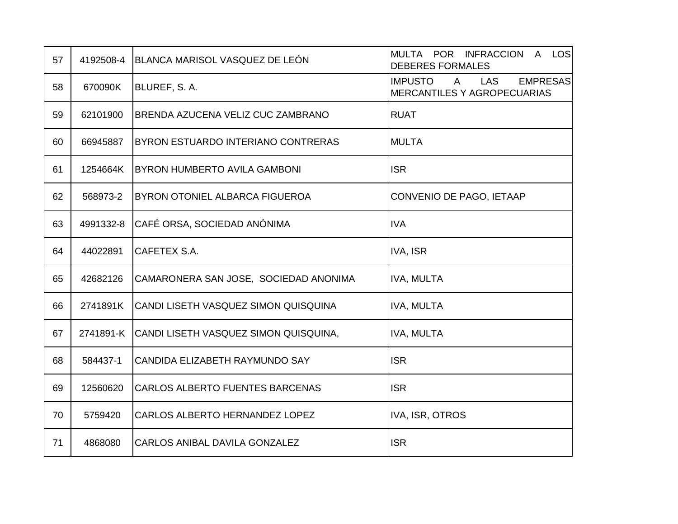| 57 | 4192508-4 | BLANCA MARISOL VASQUEZ DE LEÓN         | MULTA POR INFRACCION A LOS<br><b>DEBERES FORMALES</b>                                          |
|----|-----------|----------------------------------------|------------------------------------------------------------------------------------------------|
| 58 | 670090K   | BLUREF, S.A.                           | $\mathsf{A}$<br><b>LAS</b><br><b>EMPRESAS</b><br><b>IMPUSTO</b><br>MERCANTILES Y AGROPECUARIAS |
| 59 | 62101900  | BRENDA AZUCENA VELIZ CUC ZAMBRANO      | <b>RUAT</b>                                                                                    |
| 60 | 66945887  | BYRON ESTUARDO INTERIANO CONTRERAS     | <b>MULTA</b>                                                                                   |
| 61 | 1254664K  | <b>BYRON HUMBERTO AVILA GAMBONI</b>    | <b>ISR</b>                                                                                     |
| 62 | 568973-2  | BYRON OTONIEL ALBARCA FIGUEROA         | CONVENIO DE PAGO, IETAAP                                                                       |
| 63 | 4991332-8 | CAFÉ ORSA, SOCIEDAD ANÓNIMA            | <b>IVA</b>                                                                                     |
| 64 | 44022891  | CAFETEX S.A.                           | IVA, ISR                                                                                       |
| 65 | 42682126  | CAMARONERA SAN JOSE, SOCIEDAD ANONIMA  | IVA, MULTA                                                                                     |
| 66 | 2741891K  | CANDI LISETH VASQUEZ SIMON QUISQUINA   | IVA, MULTA                                                                                     |
| 67 | 2741891-K | CANDI LISETH VASQUEZ SIMON QUISQUINA,  | IVA, MULTA                                                                                     |
| 68 | 584437-1  | CANDIDA ELIZABETH RAYMUNDO SAY         | <b>ISR</b>                                                                                     |
| 69 | 12560620  | <b>CARLOS ALBERTO FUENTES BARCENAS</b> | <b>ISR</b>                                                                                     |
| 70 | 5759420   | CARLOS ALBERTO HERNANDEZ LOPEZ         | IVA, ISR, OTROS                                                                                |
| 71 | 4868080   | CARLOS ANIBAL DAVILA GONZALEZ          | <b>ISR</b>                                                                                     |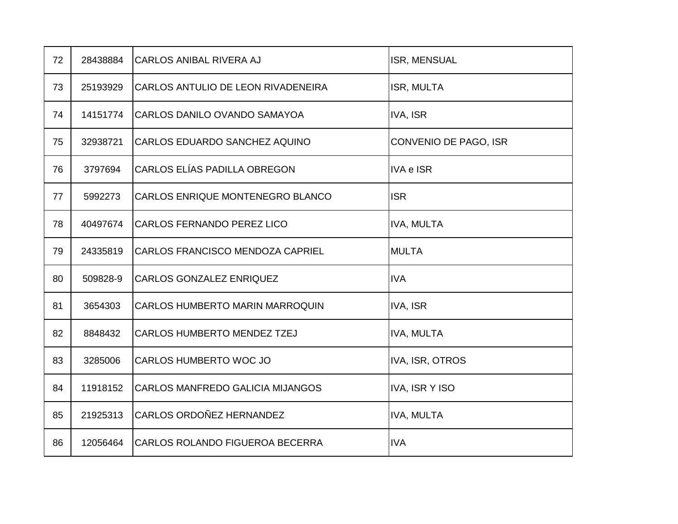| 72 | 28438884 | <b>CARLOS ANIBAL RIVERA AJ</b>          | ISR, MENSUAL          |
|----|----------|-----------------------------------------|-----------------------|
| 73 | 25193929 | CARLOS ANTULIO DE LEON RIVADENEIRA      | ISR, MULTA            |
| 74 | 14151774 | CARLOS DANILO OVANDO SAMAYOA            | IVA, ISR              |
| 75 | 32938721 | CARLOS EDUARDO SANCHEZ AQUINO           | CONVENIO DE PAGO, ISR |
| 76 | 3797694  | CARLOS ELÍAS PADILLA OBREGON            | <b>IVA e ISR</b>      |
| 77 | 5992273  | CARLOS ENRIQUE MONTENEGRO BLANCO        | <b>ISR</b>            |
| 78 | 40497674 | <b>CARLOS FERNANDO PEREZ LICO</b>       | IVA, MULTA            |
| 79 | 24335819 | CARLOS FRANCISCO MENDOZA CAPRIEL        | <b>MULTA</b>          |
| 80 | 509828-9 | <b>CARLOS GONZALEZ ENRIQUEZ</b>         | <b>IVA</b>            |
| 81 | 3654303  | CARLOS HUMBERTO MARIN MARROQUIN         | IVA, ISR              |
| 82 | 8848432  | CARLOS HUMBERTO MENDEZ TZEJ             | <b>IVA, MULTA</b>     |
| 83 | 3285006  | CARLOS HUMBERTO WOC JO                  | IVA, ISR, OTROS       |
| 84 | 11918152 | <b>CARLOS MANFREDO GALICIA MIJANGOS</b> | <b>IVA, ISR Y ISO</b> |
| 85 | 21925313 | <b>CARLOS ORDOÑEZ HERNANDEZ</b>         | <b>IVA, MULTA</b>     |
| 86 | 12056464 | CARLOS ROLANDO FIGUEROA BECERRA         | <b>IVA</b>            |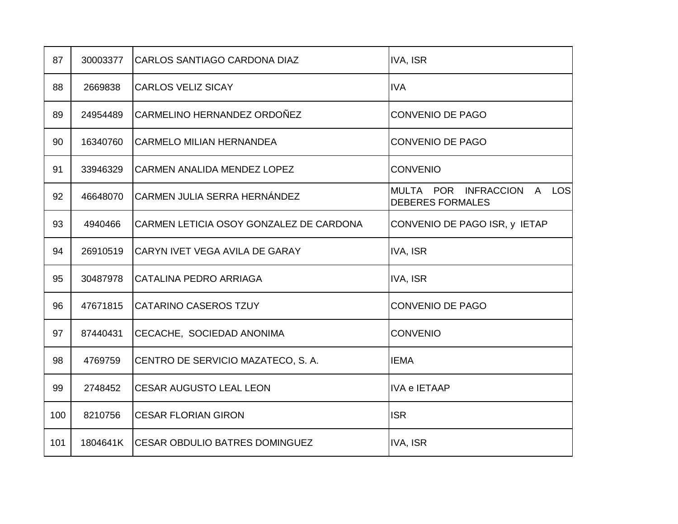| 87  | 30003377 | <b>CARLOS SANTIAGO CARDONA DIAZ</b>     | IVA, ISR                                              |
|-----|----------|-----------------------------------------|-------------------------------------------------------|
| 88  | 2669838  | <b>CARLOS VELIZ SICAY</b>               | <b>IVA</b>                                            |
| 89  | 24954489 | CARMELINO HERNANDEZ ORDOÑEZ             | <b>CONVENIO DE PAGO</b>                               |
| 90  | 16340760 | <b>CARMELO MILIAN HERNANDEA</b>         | <b>CONVENIO DE PAGO</b>                               |
| 91  | 33946329 | <b>CARMEN ANALIDA MENDEZ LOPEZ</b>      | <b>CONVENIO</b>                                       |
| 92  | 46648070 | <b>CARMEN JULIA SERRA HERNÁNDEZ</b>     | MULTA POR INFRACCION A LOS<br><b>DEBERES FORMALES</b> |
| 93  | 4940466  | CARMEN LETICIA OSOY GONZALEZ DE CARDONA | CONVENIO DE PAGO ISR, y IETAP                         |
| 94  | 26910519 | <b>CARYN IVET VEGA AVILA DE GARAY</b>   | <b>IVA, ISR</b>                                       |
| 95  | 30487978 | <b>CATALINA PEDRO ARRIAGA</b>           | <b>IVA, ISR</b>                                       |
| 96  | 47671815 | <b>CATARINO CASEROS TZUY</b>            | CONVENIO DE PAGO                                      |
| 97  | 87440431 | CECACHE, SOCIEDAD ANONIMA               | <b>CONVENIO</b>                                       |
| 98  | 4769759  | CENTRO DE SERVICIO MAZATECO, S. A.      | <b>IEMA</b>                                           |
| 99  | 2748452  | <b>CESAR AUGUSTO LEAL LEON</b>          | <b>IVA e IETAAP</b>                                   |
| 100 | 8210756  | <b>CESAR FLORIAN GIRON</b>              | <b>ISR</b>                                            |
| 101 | 1804641K | <b>CESAR OBDULIO BATRES DOMINGUEZ</b>   | <b>IVA, ISR</b>                                       |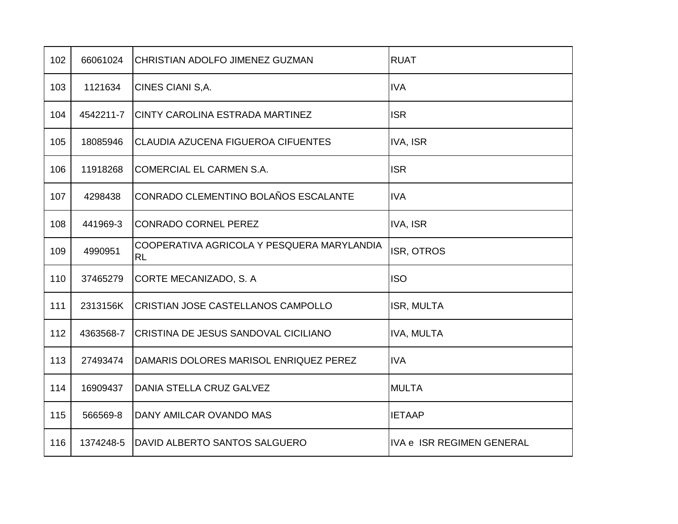| 102 | 66061024  | CHRISTIAN ADOLFO JIMENEZ GUZMAN                         | <b>RUAT</b>               |
|-----|-----------|---------------------------------------------------------|---------------------------|
| 103 | 1121634   | CINES CIANI S, A.                                       | <b>IVA</b>                |
| 104 | 4542211-7 | CINTY CAROLINA ESTRADA MARTINEZ                         | <b>ISR</b>                |
| 105 | 18085946  | CLAUDIA AZUCENA FIGUEROA CIFUENTES                      | IVA, ISR                  |
| 106 | 11918268  | COMERCIAL EL CARMEN S.A.                                | <b>ISR</b>                |
| 107 | 4298438   | CONRADO CLEMENTINO BOLAÑOS ESCALANTE                    | <b>IVA</b>                |
| 108 | 441969-3  | <b>CONRADO CORNEL PEREZ</b>                             | IVA, ISR                  |
| 109 | 4990951   | COOPERATIVA AGRICOLA Y PESQUERA MARYLANDIA<br><b>RL</b> | ISR, OTROS                |
| 110 | 37465279  | CORTE MECANIZADO, S. A                                  | <b>ISO</b>                |
| 111 | 2313156K  | CRISTIAN JOSE CASTELLANOS CAMPOLLO                      | ISR, MULTA                |
| 112 | 4363568-7 | CRISTINA DE JESUS SANDOVAL CICILIANO                    | <b>IVA, MULTA</b>         |
| 113 | 27493474  | DAMARIS DOLORES MARISOL ENRIQUEZ PEREZ                  | <b>IVA</b>                |
| 114 | 16909437  | DANIA STELLA CRUZ GALVEZ                                | <b>MULTA</b>              |
| 115 | 566569-8  | DANY AMILCAR OVANDO MAS                                 | <b>IETAAP</b>             |
| 116 | 1374248-5 | DAVID ALBERTO SANTOS SALGUERO                           | IVA e ISR REGIMEN GENERAL |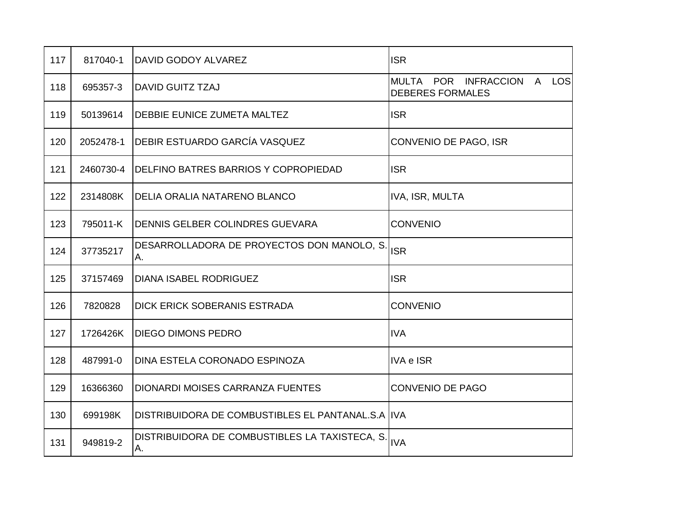| 117 | 817040-1  | IDAVID GODOY ALVAREZ                                | <b>ISR</b>                                                         |
|-----|-----------|-----------------------------------------------------|--------------------------------------------------------------------|
| 118 | 695357-3  | <b>DAVID GUITZ TZAJ</b>                             | POR INFRACCION<br>A LOS<br><b>MULTA</b><br><b>DEBERES FORMALES</b> |
| 119 | 50139614  | <b>DEBBIE EUNICE ZUMETA MALTEZ</b>                  | <b>ISR</b>                                                         |
| 120 | 2052478-1 | DEBIR ESTUARDO GARCÍA VASQUEZ                       | CONVENIO DE PAGO, ISR                                              |
| 121 | 2460730-4 | <b>DELFINO BATRES BARRIOS Y COPROPIEDAD</b>         | <b>ISR</b>                                                         |
| 122 | 2314808K  | <b>DELIA ORALIA NATARENO BLANCO</b>                 | IVA, ISR, MULTA                                                    |
| 123 | 795011-K  | DENNIS GELBER COLINDRES GUEVARA                     | <b>CONVENIO</b>                                                    |
| 124 | 37735217  | DESARROLLADORA DE PROYECTOS DON MANOLO, S.<br>Α.    | <b>ISR</b>                                                         |
| 125 | 37157469  | <b>DIANA ISABEL RODRIGUEZ</b>                       | <b>ISR</b>                                                         |
| 126 | 7820828   | DICK ERICK SOBERANIS ESTRADA                        | <b>CONVENIO</b>                                                    |
| 127 | 1726426K  | <b>DIEGO DIMONS PEDRO</b>                           | <b>IVA</b>                                                         |
| 128 | 487991-0  | DINA ESTELA CORONADO ESPINOZA                       | <b>IVA e ISR</b>                                                   |
| 129 | 16366360  | DIONARDI MOISES CARRANZA FUENTES                    | <b>CONVENIO DE PAGO</b>                                            |
| 130 | 699198K   | DISTRIBUIDORA DE COMBUSTIBLES EL PANTANAL.S.A IIVA  |                                                                    |
| 131 | 949819-2  | DISTRIBUIDORA DE COMBUSTIBLES LA TAXISTECA, S<br>А. | <b>IVA</b>                                                         |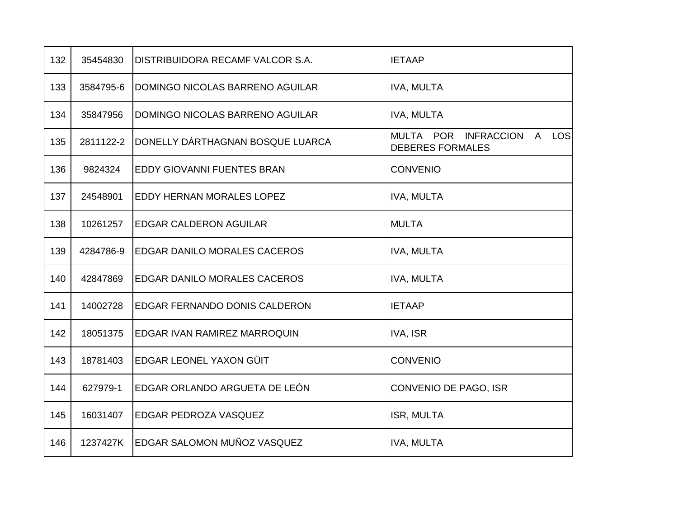| 132 | 35454830  | DISTRIBUIDORA RECAMF VALCOR S.A.    | <b>IETAAP</b>                                            |
|-----|-----------|-------------------------------------|----------------------------------------------------------|
| 133 | 3584795-6 | DOMINGO NICOLAS BARRENO AGUILAR     | <b>IVA, MULTA</b>                                        |
| 134 | 35847956  | DOMINGO NICOLAS BARRENO AGUILAR     | <b>IVA, MULTA</b>                                        |
| 135 | 2811122-2 | DONELLY DÁRTHAGNAN BOSQUE LUARCA    | MULTA POR INFRACCION<br>A LOS<br><b>DEBERES FORMALES</b> |
| 136 | 9824324   | <b>EDDY GIOVANNI FUENTES BRAN</b>   | <b>CONVENIO</b>                                          |
| 137 | 24548901  | EDDY HERNAN MORALES LOPEZ           | <b>IVA, MULTA</b>                                        |
| 138 | 10261257  | <b>EDGAR CALDERON AGUILAR</b>       | <b>MULTA</b>                                             |
| 139 | 4284786-9 | <b>EDGAR DANILO MORALES CACEROS</b> | <b>IVA, MULTA</b>                                        |
| 140 | 42847869  | <b>EDGAR DANILO MORALES CACEROS</b> | <b>IVA, MULTA</b>                                        |
| 141 | 14002728  | EDGAR FERNANDO DONIS CALDERON       | <b>IETAAP</b>                                            |
| 142 | 18051375  | EDGAR IVAN RAMIREZ MARROQUIN        | <b>IVA, ISR</b>                                          |
| 143 | 18781403  | EDGAR LEONEL YAXON GÜIT             | <b>CONVENIO</b>                                          |
| 144 | 627979-1  | EDGAR ORLANDO ARGUETA DE LEÓN       | CONVENIO DE PAGO, ISR                                    |
| 145 | 16031407  | EDGAR PEDROZA VASQUEZ               | ISR, MULTA                                               |
| 146 | 1237427K  | EDGAR SALOMON MUÑOZ VASQUEZ         | <b>IVA, MULTA</b>                                        |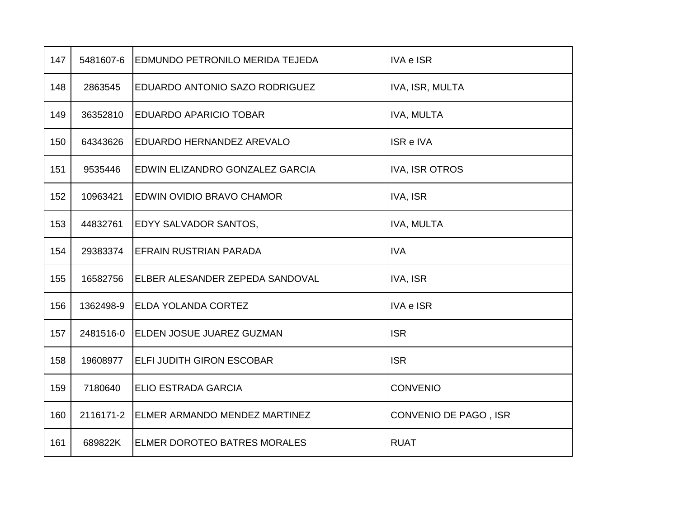| 147 | 5481607-6 | <b>EDMUNDO PETRONILO MERIDA TEJEDA</b> | <b>IVA e ISR</b>      |
|-----|-----------|----------------------------------------|-----------------------|
| 148 | 2863545   | EDUARDO ANTONIO SAZO RODRIGUEZ         | IVA, ISR, MULTA       |
| 149 | 36352810  | <b>EDUARDO APARICIO TOBAR</b>          | <b>IVA, MULTA</b>     |
| 150 | 64343626  | <b>EDUARDO HERNANDEZ AREVALO</b>       | ISR e IVA             |
| 151 | 9535446   | EDWIN ELIZANDRO GONZALEZ GARCIA        | <b>IVA, ISR OTROS</b> |
| 152 | 10963421  | <b>EDWIN OVIDIO BRAVO CHAMOR</b>       | <b>IVA, ISR</b>       |
| 153 | 44832761  | <b>EDYY SALVADOR SANTOS,</b>           | <b>IVA, MULTA</b>     |
| 154 | 29383374  | <b>EFRAIN RUSTRIAN PARADA</b>          | <b>IVA</b>            |
| 155 | 16582756  | ELBER ALESANDER ZEPEDA SANDOVAL        | IVA, ISR              |
| 156 | 1362498-9 | <b>ELDA YOLANDA CORTEZ</b>             | <b>IVA e ISR</b>      |
| 157 | 2481516-0 | ELDEN JOSUE JUAREZ GUZMAN              | <b>ISR</b>            |
| 158 | 19608977  | <b>ELFI JUDITH GIRON ESCOBAR</b>       | <b>ISR</b>            |
| 159 | 7180640   | <b>ELIO ESTRADA GARCIA</b>             | <b>CONVENIO</b>       |
| 160 | 2116171-2 | ELMER ARMANDO MENDEZ MARTINEZ          | CONVENIO DE PAGO, ISR |
| 161 | 689822K   | <b>ELMER DOROTEO BATRES MORALES</b>    | <b>RUAT</b>           |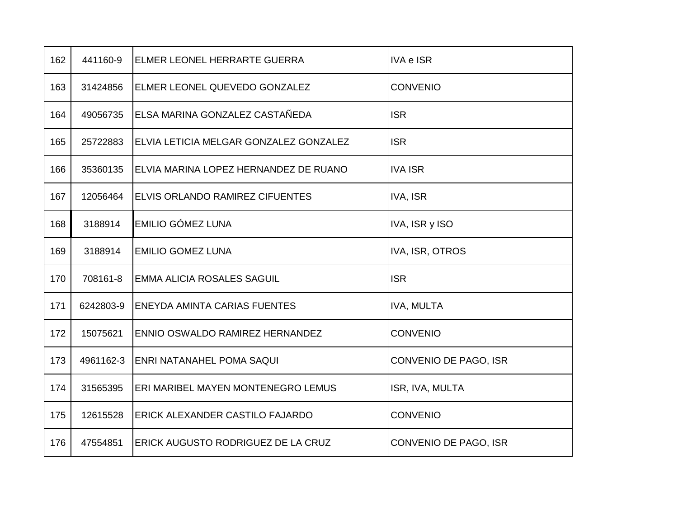| 162 | 441160-9  | ELMER LEONEL HERRARTE GUERRA           | <b>IVA e ISR</b>      |
|-----|-----------|----------------------------------------|-----------------------|
| 163 | 31424856  | ELMER LEONEL QUEVEDO GONZALEZ          | <b>CONVENIO</b>       |
| 164 | 49056735  | ELSA MARINA GONZALEZ CASTAÑEDA         | <b>ISR</b>            |
| 165 | 25722883  | ELVIA LETICIA MELGAR GONZALEZ GONZALEZ | <b>ISR</b>            |
| 166 | 35360135  | ELVIA MARINA LOPEZ HERNANDEZ DE RUANO  | <b>IVA ISR</b>        |
| 167 | 12056464  | ELVIS ORLANDO RAMIREZ CIFUENTES        | IVA, ISR              |
| 168 | 3188914   | <b>EMILIO GÓMEZ LUNA</b>               | IVA, ISR y ISO        |
| 169 | 3188914   | <b>EMILIO GOMEZ LUNA</b>               | IVA, ISR, OTROS       |
| 170 | 708161-8  | <b>EMMA ALICIA ROSALES SAGUIL</b>      | <b>ISR</b>            |
| 171 | 6242803-9 | <b>ENEYDA AMINTA CARIAS FUENTES</b>    | <b>IVA, MULTA</b>     |
| 172 | 15075621  | ENNIO OSWALDO RAMIREZ HERNANDEZ        | <b>CONVENIO</b>       |
| 173 | 4961162-3 | <b>ENRI NATANAHEL POMA SAQUI</b>       | CONVENIO DE PAGO, ISR |
| 174 | 31565395  | ERI MARIBEL MAYEN MONTENEGRO LEMUS     | ISR, IVA, MULTA       |
| 175 | 12615528  | <b>ERICK ALEXANDER CASTILO FAJARDO</b> | <b>CONVENIO</b>       |
| 176 | 47554851  | ERICK AUGUSTO RODRIGUEZ DE LA CRUZ     | CONVENIO DE PAGO, ISR |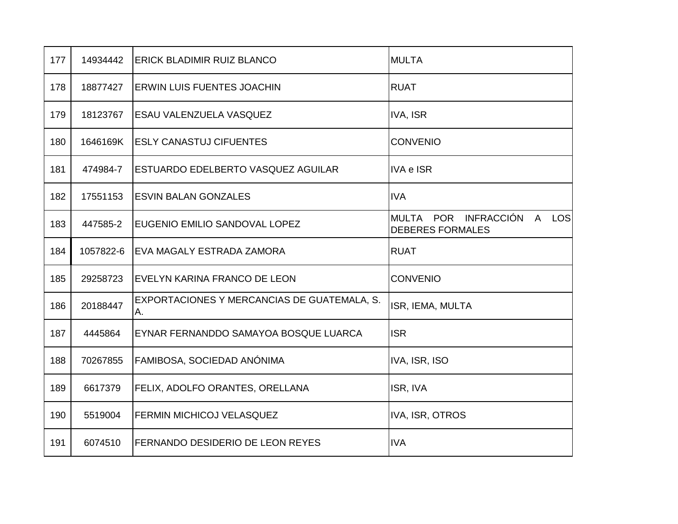| 177 | 14934442  | <b>ERICK BLADIMIR RUIZ BLANCO</b>                 | <b>MULTA</b>                                          |
|-----|-----------|---------------------------------------------------|-------------------------------------------------------|
| 178 | 18877427  | <b>ERWIN LUIS FUENTES JOACHIN</b>                 | <b>RUAT</b>                                           |
| 179 | 18123767  | ESAU VALENZUELA VASQUEZ                           | IVA, ISR                                              |
| 180 | 1646169K  | <b>ESLY CANASTUJ CIFUENTES</b>                    | <b>CONVENIO</b>                                       |
| 181 | 474984-7  | ESTUARDO EDELBERTO VASQUEZ AGUILAR                | <b>IVA e ISR</b>                                      |
| 182 | 17551153  | <b>ESVIN BALAN GONZALES</b>                       | <b>IVA</b>                                            |
| 183 | 447585-2  | EUGENIO EMILIO SANDOVAL LOPEZ                     | MULTA POR INFRACCIÓN A LOS<br><b>DEBERES FORMALES</b> |
| 184 | 1057822-6 | EVA MAGALY ESTRADA ZAMORA                         | <b>RUAT</b>                                           |
| 185 | 29258723  | EVELYN KARINA FRANCO DE LEON                      | <b>CONVENIO</b>                                       |
| 186 | 20188447  | EXPORTACIONES Y MERCANCIAS DE GUATEMALA, S.<br>А. | ISR, IEMA, MULTA                                      |
| 187 | 4445864   | EYNAR FERNANDDO SAMAYOA BOSQUE LUARCA             | <b>ISR</b>                                            |
| 188 | 70267855  | FAMIBOSA, SOCIEDAD ANÓNIMA                        | IVA, ISR, ISO                                         |
| 189 | 6617379   | FELIX, ADOLFO ORANTES, ORELLANA                   | ISR, IVA                                              |
| 190 | 5519004   | <b>FERMIN MICHICOJ VELASQUEZ</b>                  | IVA, ISR, OTROS                                       |
| 191 | 6074510   | FERNANDO DESIDERIO DE LEON REYES                  | <b>IVA</b>                                            |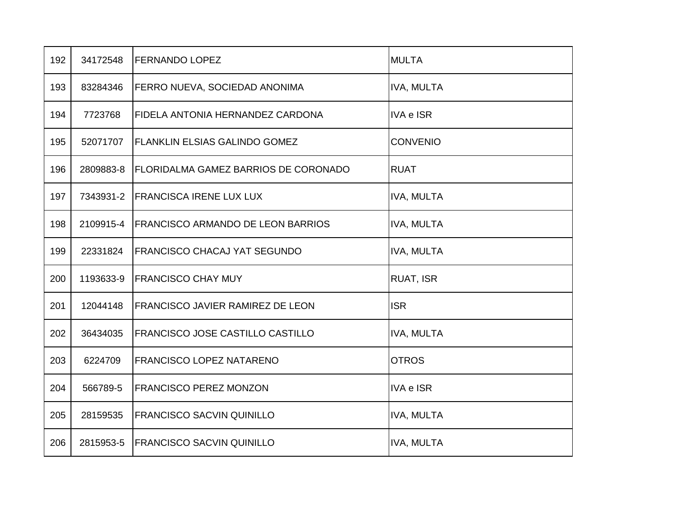| 192 | 34172548  | <b>FERNANDO LOPEZ</b>                | <b>MULTA</b>      |
|-----|-----------|--------------------------------------|-------------------|
| 193 | 83284346  | FERRO NUEVA, SOCIEDAD ANONIMA        | <b>IVA, MULTA</b> |
| 194 | 7723768   | FIDELA ANTONIA HERNANDEZ CARDONA     | <b>IVA e ISR</b>  |
| 195 | 52071707  | FLANKLIN ELSIAS GALINDO GOMEZ        | <b>CONVENIO</b>   |
| 196 | 2809883-8 | FLORIDALMA GAMEZ BARRIOS DE CORONADO | <b>RUAT</b>       |
| 197 | 7343931-2 | <b>FRANCISCA IRENE LUX LUX</b>       | <b>IVA, MULTA</b> |
| 198 | 2109915-4 | FRANCISCO ARMANDO DE LEON BARRIOS    | IVA, MULTA        |
| 199 | 22331824  | FRANCISCO CHACAJ YAT SEGUNDO         | <b>IVA, MULTA</b> |
| 200 | 1193633-9 | <b>FRANCISCO CHAY MUY</b>            | <b>RUAT, ISR</b>  |
| 201 | 12044148  | FRANCISCO JAVIER RAMIREZ DE LEON     | <b>ISR</b>        |
| 202 | 36434035  | FRANCISCO JOSE CASTILLO CASTILLO     | IVA, MULTA        |
| 203 | 6224709   | <b>FRANCISCO LOPEZ NATARENO</b>      | <b>OTROS</b>      |
| 204 | 566789-5  | <b>FRANCISCO PEREZ MONZON</b>        | <b>IVA e ISR</b>  |
| 205 | 28159535  | <b>FRANCISCO SACVIN QUINILLO</b>     | IVA, MULTA        |
| 206 | 2815953-5 | <b>FRANCISCO SACVIN QUINILLO</b>     | <b>IVA, MULTA</b> |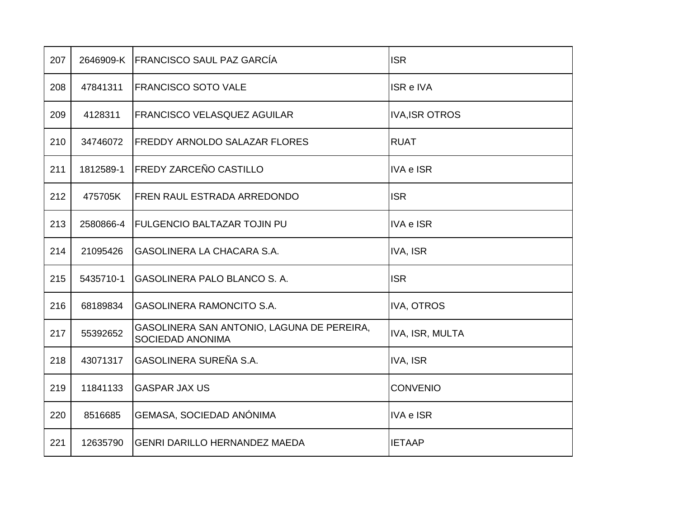| 207 | 2646909-K | <b>FRANCISCO SAUL PAZ GARCÍA</b>                                      | <b>ISR</b>            |
|-----|-----------|-----------------------------------------------------------------------|-----------------------|
| 208 | 47841311  | <b>FRANCISCO SOTO VALE</b>                                            | ISR e IVA             |
| 209 | 4128311   | <b>FRANCISCO VELASQUEZ AGUILAR</b>                                    | <b>IVA, ISR OTROS</b> |
| 210 | 34746072  | <b>FREDDY ARNOLDO SALAZAR FLORES</b>                                  | <b>RUAT</b>           |
| 211 | 1812589-1 | <b>FREDY ZARCEÑO CASTILLO</b>                                         | <b>IVA e ISR</b>      |
| 212 | 475705K   | <b>FREN RAUL ESTRADA ARREDONDO</b>                                    | <b>ISR</b>            |
| 213 | 2580866-4 | <b>FULGENCIO BALTAZAR TOJIN PU</b>                                    | <b>IVA e ISR</b>      |
| 214 | 21095426  | <b>GASOLINERA LA CHACARA S.A.</b>                                     | <b>IVA, ISR</b>       |
| 215 | 5435710-1 | GASOLINERA PALO BLANCO S. A.                                          | <b>ISR</b>            |
| 216 | 68189834  | <b>GASOLINERA RAMONCITO S.A.</b>                                      | <b>IVA, OTROS</b>     |
| 217 | 55392652  | GASOLINERA SAN ANTONIO, LAGUNA DE PEREIRA,<br><b>SOCIEDAD ANONIMA</b> | IVA, ISR, MULTA       |
| 218 | 43071317  | GASOLINERA SUREÑA S.A.                                                | IVA, ISR              |
| 219 | 11841133  | <b>GASPAR JAX US</b>                                                  | <b>CONVENIO</b>       |
| 220 | 8516685   | GEMASA, SOCIEDAD ANÓNIMA                                              | <b>IVA e ISR</b>      |
| 221 | 12635790  | <b>GENRI DARILLO HERNANDEZ MAEDA</b>                                  | <b>IETAAP</b>         |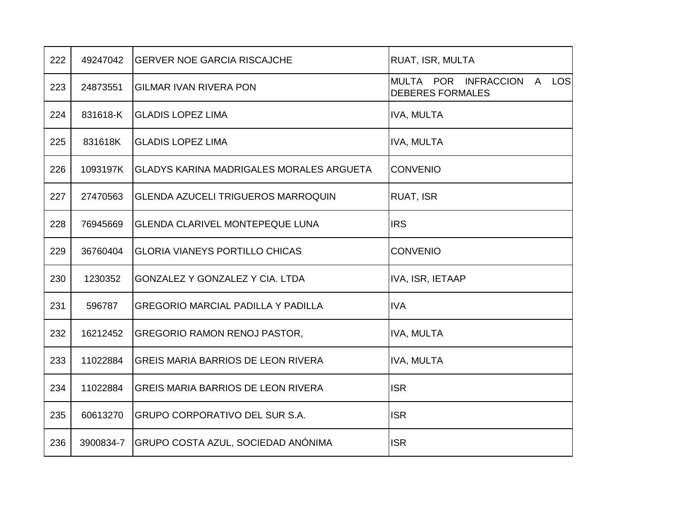| 222 | 49247042  | <b>GERVER NOE GARCIA RISCAJCHE</b>              | RUAT, ISR, MULTA                                      |
|-----|-----------|-------------------------------------------------|-------------------------------------------------------|
| 223 | 24873551  | <b>GILMAR IVAN RIVERA PON</b>                   | MULTA POR INFRACCION A LOS<br><b>DEBERES FORMALES</b> |
| 224 | 831618-K  | <b>GLADIS LOPEZ LIMA</b>                        | IVA, MULTA                                            |
| 225 | 831618K   | <b>GLADIS LOPEZ LIMA</b>                        | IVA, MULTA                                            |
| 226 | 1093197K  | <b>GLADYS KARINA MADRIGALES MORALES ARGUETA</b> | <b>CONVENIO</b>                                       |
| 227 | 27470563  | <b>GLENDA AZUCELI TRIGUEROS MARROQUIN</b>       | RUAT, ISR                                             |
| 228 | 76945669  | <b>GLENDA CLARIVEL MONTEPEQUE LUNA</b>          | <b>IRS</b>                                            |
| 229 | 36760404  | <b>GLORIA VIANEYS PORTILLO CHICAS</b>           | <b>CONVENIO</b>                                       |
| 230 | 1230352   | GONZALEZ Y GONZALEZ Y CIA. LTDA                 | IVA, ISR, IETAAP                                      |
| 231 | 596787    | <b>GREGORIO MARCIAL PADILLA Y PADILLA</b>       | <b>IVA</b>                                            |
| 232 | 16212452  | <b>GREGORIO RAMON RENOJ PASTOR,</b>             | <b>IVA, MULTA</b>                                     |
| 233 | 11022884  | <b>GREIS MARIA BARRIOS DE LEON RIVERA</b>       | IVA, MULTA                                            |
| 234 | 11022884  | <b>GREIS MARIA BARRIOS DE LEON RIVERA</b>       | <b>ISR</b>                                            |
| 235 | 60613270  | <b>GRUPO CORPORATIVO DEL SUR S.A.</b>           | <b>ISR</b>                                            |
| 236 | 3900834-7 | GRUPO COSTA AZUL, SOCIEDAD ANÓNIMA              | <b>ISR</b>                                            |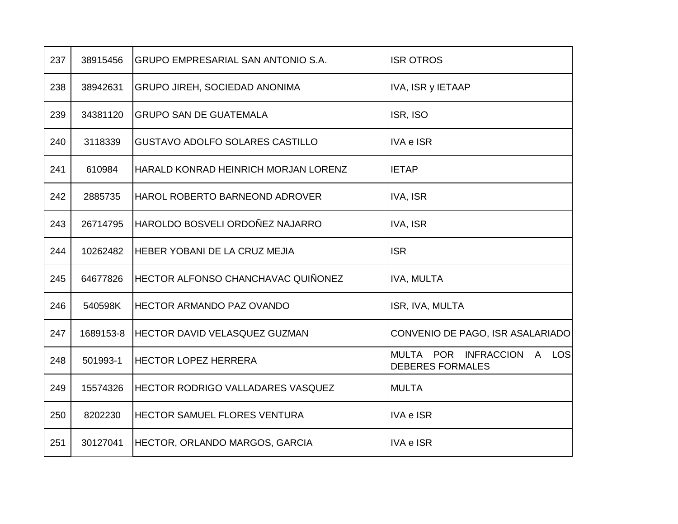| 237 | 38915456  | <b>GRUPO EMPRESARIAL SAN ANTONIO S.A.</b> | <b>ISR OTROS</b>                                      |
|-----|-----------|-------------------------------------------|-------------------------------------------------------|
| 238 | 38942631  | <b>GRUPO JIREH, SOCIEDAD ANONIMA</b>      | IVA, ISR y IETAAP                                     |
| 239 | 34381120  | <b>GRUPO SAN DE GUATEMALA</b>             | ISR, ISO                                              |
| 240 | 3118339   | <b>GUSTAVO ADOLFO SOLARES CASTILLO</b>    | <b>IVA e ISR</b>                                      |
| 241 | 610984    | HARALD KONRAD HEINRICH MORJAN LORENZ      | <b>IETAP</b>                                          |
| 242 | 2885735   | HAROL ROBERTO BARNEOND ADROVER            | IVA, ISR                                              |
| 243 | 26714795  | HAROLDO BOSVELI ORDOÑEZ NAJARRO           | IVA, ISR                                              |
| 244 | 10262482  | HEBER YOBANI DE LA CRUZ MEJIA             | <b>ISR</b>                                            |
| 245 | 64677826  | HECTOR ALFONSO CHANCHAVAC QUIÑONEZ        | <b>IVA, MULTA</b>                                     |
| 246 | 540598K   | HECTOR ARMANDO PAZ OVANDO                 | ISR, IVA, MULTA                                       |
| 247 | 1689153-8 | <b>HECTOR DAVID VELASQUEZ GUZMAN</b>      | CONVENIO DE PAGO, ISR ASALARIADO                      |
| 248 | 501993-1  | <b>HECTOR LOPEZ HERRERA</b>               | MULTA POR INFRACCION A LOS<br><b>DEBERES FORMALES</b> |
| 249 | 15574326  | <b>HECTOR RODRIGO VALLADARES VASQUEZ</b>  | <b>MULTA</b>                                          |
| 250 | 8202230   | <b>HECTOR SAMUEL FLORES VENTURA</b>       | <b>IVA e ISR</b>                                      |
| 251 | 30127041  | <b>HECTOR, ORLANDO MARGOS, GARCIA</b>     | <b>IVA e ISR</b>                                      |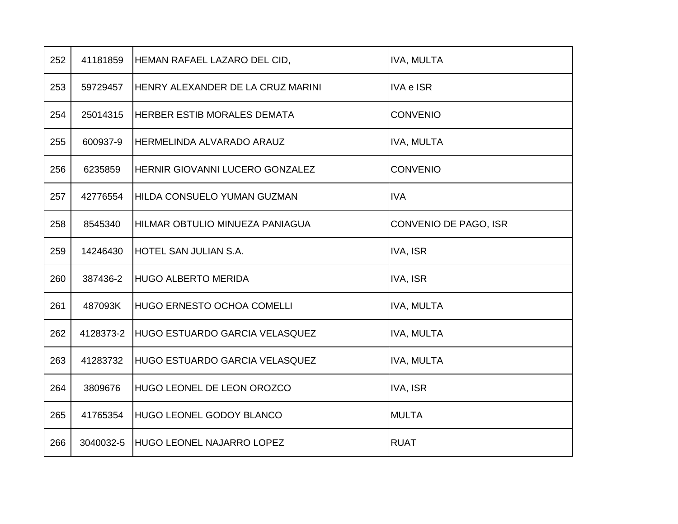| 252 | 41181859  | HEMAN RAFAEL LAZARO DEL CID,          | <b>IVA, MULTA</b>     |
|-----|-----------|---------------------------------------|-----------------------|
| 253 | 59729457  | HENRY ALEXANDER DE LA CRUZ MARINI     | <b>IVA e ISR</b>      |
| 254 | 25014315  | HERBER ESTIB MORALES DEMATA           | <b>CONVENIO</b>       |
| 255 | 600937-9  | HERMELINDA ALVARADO ARAUZ             | <b>IVA, MULTA</b>     |
| 256 | 6235859   | HERNIR GIOVANNI LUCERO GONZALEZ       | <b>CONVENIO</b>       |
| 257 | 42776554  | HILDA CONSUELO YUMAN GUZMAN           | <b>IVA</b>            |
| 258 | 8545340   | HILMAR OBTULIO MINUEZA PANIAGUA       | CONVENIO DE PAGO, ISR |
| 259 | 14246430  | HOTEL SAN JULIAN S.A.                 | <b>IVA, ISR</b>       |
| 260 | 387436-2  | <b>HUGO ALBERTO MERIDA</b>            | <b>IVA, ISR</b>       |
| 261 | 487093K   | <b>HUGO ERNESTO OCHOA COMELLI</b>     | <b>IVA, MULTA</b>     |
| 262 | 4128373-2 | <b>HUGO ESTUARDO GARCIA VELASQUEZ</b> | <b>IVA, MULTA</b>     |
| 263 | 41283732  | HUGO ESTUARDO GARCIA VELASQUEZ        | <b>IVA, MULTA</b>     |
| 264 | 3809676   | HUGO LEONEL DE LEON OROZCO            | IVA, ISR              |
| 265 | 41765354  | <b>HUGO LEONEL GODOY BLANCO</b>       | <b>MULTA</b>          |
| 266 | 3040032-5 | <b>HUGO LEONEL NAJARRO LOPEZ</b>      | <b>RUAT</b>           |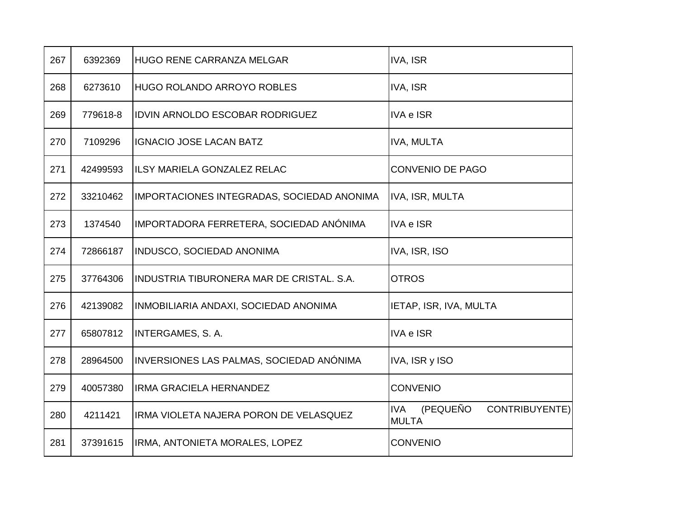| 267 | 6392369  | <b>HUGO RENE CARRANZA MELGAR</b>           | IVA, ISR                                                 |
|-----|----------|--------------------------------------------|----------------------------------------------------------|
| 268 | 6273610  | <b>HUGO ROLANDO ARROYO ROBLES</b>          | <b>IVA, ISR</b>                                          |
| 269 | 779618-8 | <b>IDVIN ARNOLDO ESCOBAR RODRIGUEZ</b>     | <b>IVA e ISR</b>                                         |
| 270 | 7109296  | <b>IGNACIO JOSE LACAN BATZ</b>             | <b>IVA, MULTA</b>                                        |
| 271 | 42499593 | <b>ILSY MARIELA GONZALEZ RELAC</b>         | <b>CONVENIO DE PAGO</b>                                  |
| 272 | 33210462 | IMPORTACIONES INTEGRADAS, SOCIEDAD ANONIMA | IVA, ISR, MULTA                                          |
| 273 | 1374540  | IMPORTADORA FERRETERA, SOCIEDAD ANÓNIMA    | <b>IVA e ISR</b>                                         |
| 274 | 72866187 | INDUSCO, SOCIEDAD ANONIMA                  | IVA, ISR, ISO                                            |
| 275 | 37764306 | INDUSTRIA TIBURONERA MAR DE CRISTAL. S.A.  | <b>OTROS</b>                                             |
| 276 | 42139082 | INMOBILIARIA ANDAXI, SOCIEDAD ANONIMA      | IETAP, ISR, IVA, MULTA                                   |
| 277 | 65807812 | <b>INTERGAMES, S. A.</b>                   | <b>IVA e ISR</b>                                         |
| 278 | 28964500 | INVERSIONES LAS PALMAS, SOCIEDAD ANÓNIMA   | IVA, ISR y ISO                                           |
| 279 | 40057380 | <b>IRMA GRACIELA HERNANDEZ</b>             | <b>CONVENIO</b>                                          |
| 280 | 4211421  | IRMA VIOLETA NAJERA PORON DE VELASQUEZ     | (PEQUEÑO<br>CONTRIBUYENTE)<br><b>IVA</b><br><b>MULTA</b> |
| 281 | 37391615 | IRMA, ANTONIETA MORALES, LOPEZ             | <b>CONVENIO</b>                                          |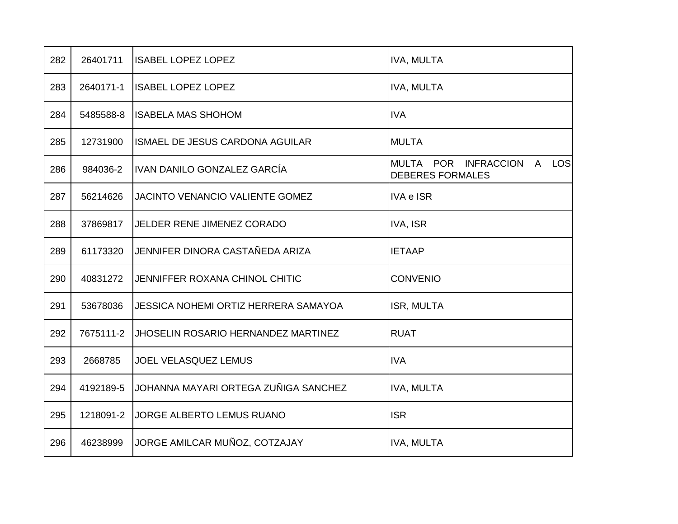| 282 | 26401711  | <b>ISABEL LOPEZ LOPEZ</b>                   | <b>IVA, MULTA</b>                                           |
|-----|-----------|---------------------------------------------|-------------------------------------------------------------|
| 283 | 2640171-1 | <b>ISABEL LOPEZ LOPEZ</b>                   | <b>IVA, MULTA</b>                                           |
| 284 | 5485588-8 | <b>ISABELA MAS SHOHOM</b>                   | <b>IVA</b>                                                  |
| 285 | 12731900  | ISMAEL DE JESUS CARDONA AGUILAR             | <b>MULTA</b>                                                |
| 286 | 984036-2  | IVAN DANILO GONZALEZ GARCÍA                 | MULTA POR INFRACCION<br>LOS<br>A<br><b>DEBERES FORMALES</b> |
| 287 | 56214626  | <b>JACINTO VENANCIO VALIENTE GOMEZ</b>      | <b>IVA e ISR</b>                                            |
| 288 | 37869817  | <b>JELDER RENE JIMENEZ CORADO</b>           | IVA, ISR                                                    |
| 289 | 61173320  | JENNIFER DINORA CASTAÑEDA ARIZA             | <b>IETAAP</b>                                               |
| 290 | 40831272  | JENNIFFER ROXANA CHINOL CHITIC              | <b>CONVENIO</b>                                             |
| 291 | 53678036  | <b>JESSICA NOHEMI ORTIZ HERRERA SAMAYOA</b> | ISR, MULTA                                                  |
| 292 | 7675111-2 | <b>JHOSELIN ROSARIO HERNANDEZ MARTINEZ</b>  | <b>RUAT</b>                                                 |
| 293 | 2668785   | <b>JOEL VELASQUEZ LEMUS</b>                 | <b>IVA</b>                                                  |
| 294 | 4192189-5 | JOHANNA MAYARI ORTEGA ZUÑIGA SANCHEZ        | <b>IVA, MULTA</b>                                           |
| 295 | 1218091-2 | JORGE ALBERTO LEMUS RUANO                   | <b>ISR</b>                                                  |
| 296 | 46238999  | JORGE AMILCAR MUÑOZ, COTZAJAY               | <b>IVA, MULTA</b>                                           |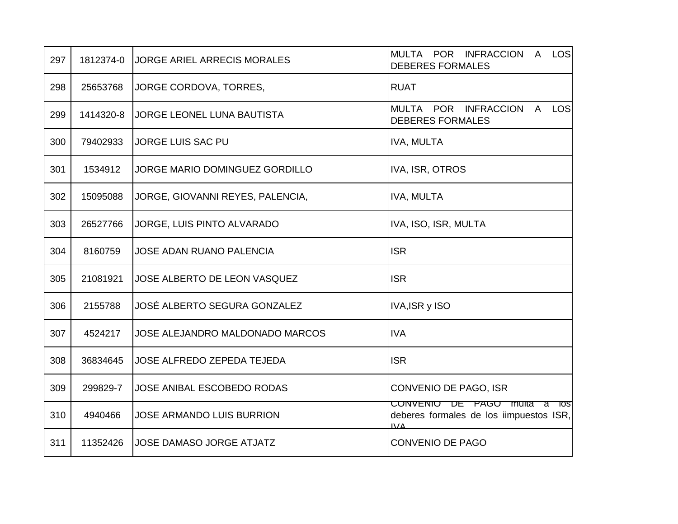| 297 | 1812374-0 | <b>JORGE ARIEL ARRECIS MORALES</b>     | MULTA POR INFRACCION<br>A LOS<br><b>DEBERES FORMALES</b>                                       |
|-----|-----------|----------------------------------------|------------------------------------------------------------------------------------------------|
| 298 | 25653768  | JORGE CORDOVA, TORRES,                 | <b>RUAT</b>                                                                                    |
| 299 | 1414320-8 | <b>JORGE LEONEL LUNA BAUTISTA</b>      | MULTA POR INFRACCION<br>A LOS<br><b>DEBERES FORMALES</b>                                       |
| 300 | 79402933  | JORGE LUIS SAC PU                      | <b>IVA, MULTA</b>                                                                              |
| 301 | 1534912   | <b>JORGE MARIO DOMINGUEZ GORDILLO</b>  | IVA, ISR, OTROS                                                                                |
| 302 | 15095088  | JORGE, GIOVANNI REYES, PALENCIA,       | <b>IVA, MULTA</b>                                                                              |
| 303 | 26527766  | JORGE, LUIS PINTO ALVARADO             | IVA, ISO, ISR, MULTA                                                                           |
| 304 | 8160759   | JOSE ADAN RUANO PALENCIA               | <b>ISR</b>                                                                                     |
| 305 | 21081921  | JOSE ALBERTO DE LEON VASQUEZ           | <b>ISR</b>                                                                                     |
| 306 | 2155788   | JOSÉ ALBERTO SEGURA GONZALEZ           | IVA, ISR y ISO                                                                                 |
| 307 | 4524217   | <b>JOSE ALEJANDRO MALDONADO MARCOS</b> | <b>IVA</b>                                                                                     |
| 308 | 36834645  | <b>JOSE ALFREDO ZEPEDA TEJEDA</b>      | <b>ISR</b>                                                                                     |
| 309 | 299829-7  | JOSE ANIBAL ESCOBEDO RODAS             | CONVENIO DE PAGO, ISR                                                                          |
| 310 | 4940466   | <b>JOSE ARMANDO LUIS BURRION</b>       | <del>CONVENIO DE PAGO multa a</del><br>TOSI<br>deberes formales de los iimpuestos ISR,<br>11/4 |
| 311 | 11352426  | <b>JOSE DAMASO JORGE ATJATZ</b>        | <b>CONVENIO DE PAGO</b>                                                                        |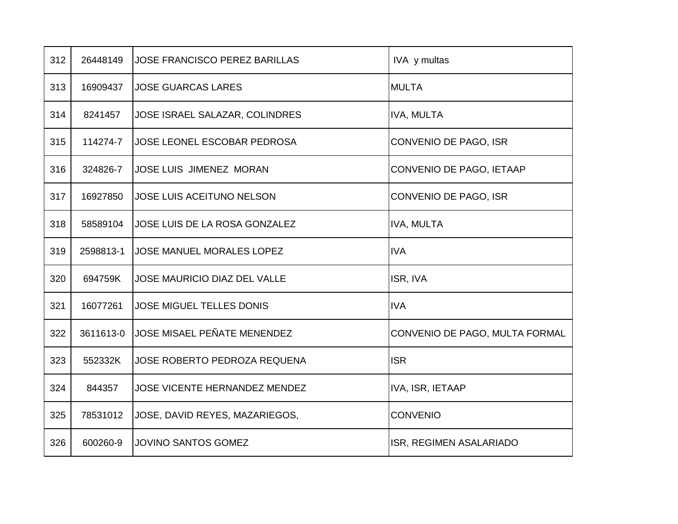| 312 | 26448149  | <b>JOSE FRANCISCO PEREZ BARILLAS</b> | IVA y multas                   |
|-----|-----------|--------------------------------------|--------------------------------|
| 313 | 16909437  | <b>JOSE GUARCAS LARES</b>            | <b>MULTA</b>                   |
| 314 | 8241457   | JOSE ISRAEL SALAZAR, COLINDRES       | <b>IVA, MULTA</b>              |
| 315 | 114274-7  | JOSE LEONEL ESCOBAR PEDROSA          | CONVENIO DE PAGO, ISR          |
| 316 | 324826-7  | <b>JOSE LUIS JIMENEZ MORAN</b>       | CONVENIO DE PAGO, IETAAP       |
| 317 | 16927850  | <b>JOSE LUIS ACEITUNO NELSON</b>     | CONVENIO DE PAGO, ISR          |
| 318 | 58589104  | JOSE LUIS DE LA ROSA GONZALEZ        | <b>IVA, MULTA</b>              |
| 319 | 2598813-1 | <b>JOSE MANUEL MORALES LOPEZ</b>     | <b>IVA</b>                     |
| 320 | 694759K   | <b>JOSE MAURICIO DIAZ DEL VALLE</b>  | ISR, IVA                       |
| 321 | 16077261  | <b>JOSE MIGUEL TELLES DONIS</b>      | <b>IVA</b>                     |
| 322 | 3611613-0 | JOSE MISAEL PEÑATE MENENDEZ          | CONVENIO DE PAGO, MULTA FORMAL |
| 323 | 552332K   | JOSE ROBERTO PEDROZA REQUENA         | <b>ISR</b>                     |
| 324 | 844357    | <b>JOSE VICENTE HERNANDEZ MENDEZ</b> | <b>IVA, ISR, IETAAP</b>        |
| 325 | 78531012  | JOSE, DAVID REYES, MAZARIEGOS,       | <b>CONVENIO</b>                |
| 326 | 600260-9  | <b>JOVINO SANTOS GOMEZ</b>           | ISR, REGIMEN ASALARIADO        |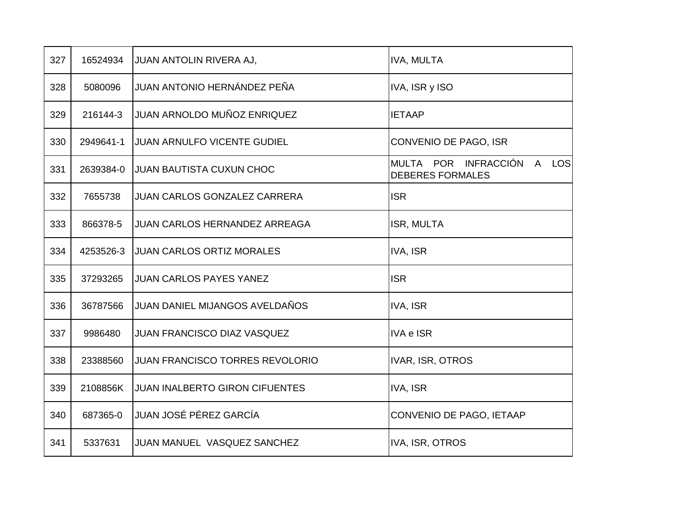| 327 | 16524934  | JUAN ANTOLIN RIVERA AJ,                | IVA, MULTA                                               |
|-----|-----------|----------------------------------------|----------------------------------------------------------|
| 328 | 5080096   | JUAN ANTONIO HERNÁNDEZ PEÑA            | IVA, ISR y ISO                                           |
| 329 | 216144-3  | JUAN ARNOLDO MUÑOZ ENRIQUEZ            | <b>IETAAP</b>                                            |
| 330 | 2949641-1 | JUAN ARNULFO VICENTE GUDIEL            | CONVENIO DE PAGO, ISR                                    |
| 331 | 2639384-0 | <b>JUAN BAUTISTA CUXUN CHOC</b>        | MULTA POR INFRACCIÓN<br>A LOS<br><b>DEBERES FORMALES</b> |
| 332 | 7655738   | JUAN CARLOS GONZALEZ CARRERA           | <b>ISR</b>                                               |
| 333 | 866378-5  | <b>JUAN CARLOS HERNANDEZ ARREAGA</b>   | ISR, MULTA                                               |
| 334 | 4253526-3 | <b>JUAN CARLOS ORTIZ MORALES</b>       | IVA, ISR                                                 |
| 335 | 37293265  | <b>JUAN CARLOS PAYES YANEZ</b>         | <b>ISR</b>                                               |
| 336 | 36787566  | JUAN DANIEL MIJANGOS AVELDAÑOS         | IVA, ISR                                                 |
| 337 | 9986480   | <b>JUAN FRANCISCO DIAZ VASQUEZ</b>     | <b>IVA e ISR</b>                                         |
| 338 | 23388560  | <b>JUAN FRANCISCO TORRES REVOLORIO</b> | IVAR, ISR, OTROS                                         |
| 339 | 2108856K  | <b>JUAN INALBERTO GIRON CIFUENTES</b>  | IVA, ISR                                                 |
| 340 | 687365-0  | JUAN JOSÉ PÉREZ GARCÍA                 | CONVENIO DE PAGO, IETAAP                                 |
| 341 | 5337631   | JUAN MANUEL VASQUEZ SANCHEZ            | IVA, ISR, OTROS                                          |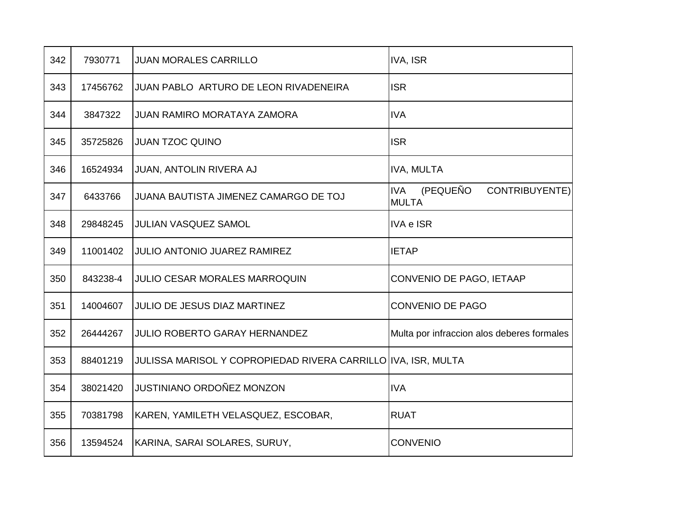| 342 | 7930771  | <b>JUAN MORALES CARRILLO</b>                                  | IVA, ISR                                                 |
|-----|----------|---------------------------------------------------------------|----------------------------------------------------------|
| 343 | 17456762 | <b>JUAN PABLO ARTURO DE LEON RIVADENEIRA</b>                  | <b>ISR</b>                                               |
| 344 | 3847322  | <b>JUAN RAMIRO MORATAYA ZAMORA</b>                            | <b>IVA</b>                                               |
| 345 | 35725826 | <b>JUAN TZOC QUINO</b>                                        | <b>ISR</b>                                               |
| 346 | 16524934 | JUAN, ANTOLIN RIVERA AJ                                       | <b>IVA, MULTA</b>                                        |
| 347 | 6433766  | JUANA BAUTISTA JIMENEZ CAMARGO DE TOJ                         | (PEQUEÑO<br><b>IVA</b><br>CONTRIBUYENTE)<br><b>MULTA</b> |
| 348 | 29848245 | <b>JULIAN VASQUEZ SAMOL</b>                                   | <b>IVA e ISR</b>                                         |
| 349 | 11001402 | <b>JULIO ANTONIO JUAREZ RAMIREZ</b>                           | <b>IETAP</b>                                             |
| 350 | 843238-4 | <b>JULIO CESAR MORALES MARROQUIN</b>                          | CONVENIO DE PAGO, IETAAP                                 |
| 351 | 14004607 | <b>JULIO DE JESUS DIAZ MARTINEZ</b>                           | CONVENIO DE PAGO                                         |
| 352 | 26444267 | <b>JULIO ROBERTO GARAY HERNANDEZ</b>                          | Multa por infraccion alos deberes formales               |
| 353 | 88401219 | JULISSA MARISOL Y COPROPIEDAD RIVERA CARRILLO IVA, ISR, MULTA |                                                          |
| 354 | 38021420 | <b>JUSTINIANO ORDOÑEZ MONZON</b>                              | <b>IVA</b>                                               |
| 355 | 70381798 | KAREN, YAMILETH VELASQUEZ, ESCOBAR,                           | <b>RUAT</b>                                              |
| 356 | 13594524 | KARINA, SARAI SOLARES, SURUY,                                 | <b>CONVENIO</b>                                          |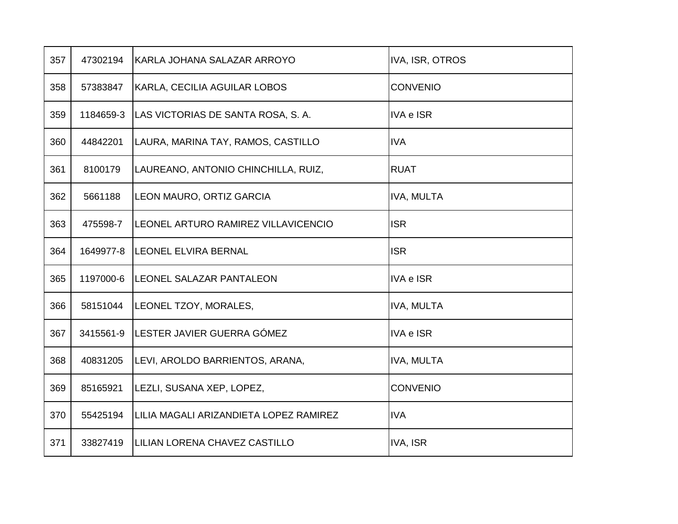| 357 | 47302194  | KARLA JOHANA SALAZAR ARROYO            | IVA, ISR, OTROS   |
|-----|-----------|----------------------------------------|-------------------|
| 358 | 57383847  | KARLA, CECILIA AGUILAR LOBOS           | CONVENIO          |
| 359 | 1184659-3 | LAS VICTORIAS DE SANTA ROSA, S. A.     | <b>IVA e ISR</b>  |
| 360 | 44842201  | LAURA, MARINA TAY, RAMOS, CASTILLO     | <b>IVA</b>        |
| 361 | 8100179   | LAUREANO, ANTONIO CHINCHILLA, RUIZ,    | <b>RUAT</b>       |
| 362 | 5661188   | LEON MAURO, ORTIZ GARCIA               | <b>IVA, MULTA</b> |
| 363 | 475598-7  | LEONEL ARTURO RAMIREZ VILLAVICENCIO    | <b>ISR</b>        |
| 364 | 1649977-8 | LEONEL ELVIRA BERNAL                   | <b>ISR</b>        |
| 365 | 1197000-6 | LEONEL SALAZAR PANTALEON               | <b>IVA e ISR</b>  |
| 366 | 58151044  | LEONEL TZOY, MORALES,                  | <b>IVA, MULTA</b> |
| 367 | 3415561-9 | LESTER JAVIER GUERRA GÓMEZ             | <b>IVA e ISR</b>  |
| 368 | 40831205  | LEVI, AROLDO BARRIENTOS, ARANA,        | <b>IVA, MULTA</b> |
| 369 | 85165921  | LEZLI, SUSANA XEP, LOPEZ,              | <b>CONVENIO</b>   |
| 370 | 55425194  | LILIA MAGALI ARIZANDIETA LOPEZ RAMIREZ | <b>IVA</b>        |
| 371 | 33827419  | LILIAN LORENA CHAVEZ CASTILLO          | IVA, ISR          |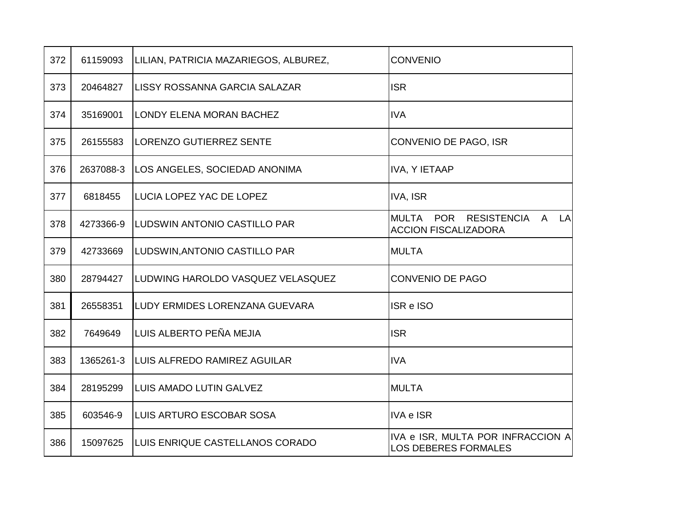| 372 | 61159093  | LILIAN, PATRICIA MAZARIEGOS, ALBUREZ, | <b>CONVENIO</b>                                                            |
|-----|-----------|---------------------------------------|----------------------------------------------------------------------------|
| 373 | 20464827  | LISSY ROSSANNA GARCIA SALAZAR         | <b>ISR</b>                                                                 |
| 374 | 35169001  | LONDY ELENA MORAN BACHEZ              | <b>IVA</b>                                                                 |
| 375 | 26155583  | <b>LORENZO GUTIERREZ SENTE</b>        | CONVENIO DE PAGO, ISR                                                      |
| 376 | 2637088-3 | LOS ANGELES, SOCIEDAD ANONIMA         | IVA, Y IETAAP                                                              |
| 377 | 6818455   | LUCIA LOPEZ YAC DE LOPEZ              | IVA, ISR                                                                   |
| 378 | 4273366-9 | LUDSWIN ANTONIO CASTILLO PAR          | MULTA POR RESISTENCIA<br>$\mathsf{A}$<br>LA<br><b>ACCION FISCALIZADORA</b> |
| 379 | 42733669  | LUDSWIN, ANTONIO CASTILLO PAR         | <b>MULTA</b>                                                               |
| 380 | 28794427  | LUDWING HAROLDO VASQUEZ VELASQUEZ     | <b>CONVENIO DE PAGO</b>                                                    |
| 381 | 26558351  | LUDY ERMIDES LORENZANA GUEVARA        | ISR e ISO                                                                  |
| 382 | 7649649   | LUIS ALBERTO PEÑA MEJIA               | <b>ISR</b>                                                                 |
| 383 | 1365261-3 | LUIS ALFREDO RAMIREZ AGUILAR          | <b>IVA</b>                                                                 |
| 384 | 28195299  | LUIS AMADO LUTIN GALVEZ               | <b>MULTA</b>                                                               |
| 385 | 603546-9  | LUIS ARTURO ESCOBAR SOSA              | <b>IVA e ISR</b>                                                           |
| 386 | 15097625  | LUIS ENRIQUE CASTELLANOS CORADO       | IVA e ISR, MULTA POR INFRACCION A<br><b>LOS DEBERES FORMALES</b>           |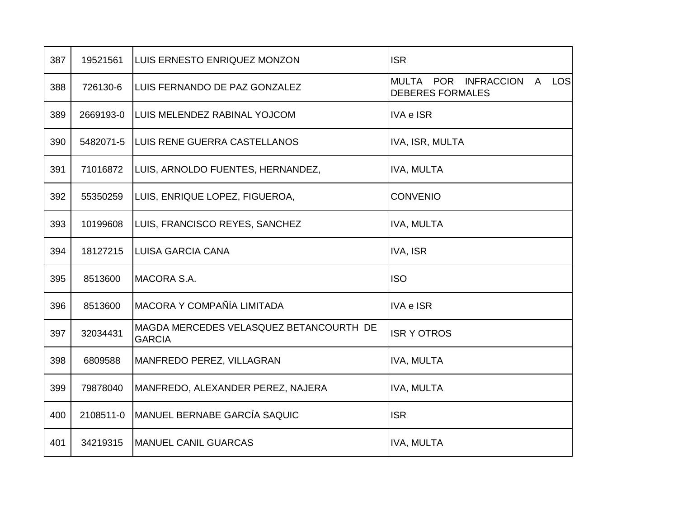| 387 | 19521561  | LUIS ERNESTO ENRIQUEZ MONZON                             | <b>ISR</b>                                                         |
|-----|-----------|----------------------------------------------------------|--------------------------------------------------------------------|
| 388 | 726130-6  | LUIS FERNANDO DE PAZ GONZALEZ                            | A LOS<br><b>MULTA</b><br>POR INFRACCION<br><b>DEBERES FORMALES</b> |
| 389 | 2669193-0 | LUIS MELENDEZ RABINAL YOJCOM                             | <b>IVA e ISR</b>                                                   |
| 390 | 5482071-5 | LUIS RENE GUERRA CASTELLANOS                             | IVA, ISR, MULTA                                                    |
| 391 | 71016872  | LUIS, ARNOLDO FUENTES, HERNANDEZ,                        | <b>IVA, MULTA</b>                                                  |
| 392 | 55350259  | LUIS, ENRIQUE LOPEZ, FIGUEROA,                           | <b>CONVENIO</b>                                                    |
| 393 | 10199608  | LUIS, FRANCISCO REYES, SANCHEZ                           | <b>IVA, MULTA</b>                                                  |
| 394 | 18127215  | <b>LUISA GARCIA CANA</b>                                 | IVA, ISR                                                           |
| 395 | 8513600   | MACORA S.A.                                              | <b>ISO</b>                                                         |
| 396 | 8513600   | MACORA Y COMPAÑÍA LIMITADA                               | <b>IVA e ISR</b>                                                   |
| 397 | 32034431  | MAGDA MERCEDES VELASQUEZ BETANCOURTH DE<br><b>GARCIA</b> | <b>ISR Y OTROS</b>                                                 |
| 398 | 6809588   | MANFREDO PEREZ, VILLAGRAN                                | <b>IVA, MULTA</b>                                                  |
| 399 | 79878040  | MANFREDO, ALEXANDER PEREZ, NAJERA                        | IVA, MULTA                                                         |
| 400 | 2108511-0 | <b>MANUEL BERNABE GARCÍA SAQUIC</b>                      | <b>ISR</b>                                                         |
| 401 | 34219315  | <b>MANUEL CANIL GUARCAS</b>                              | <b>IVA, MULTA</b>                                                  |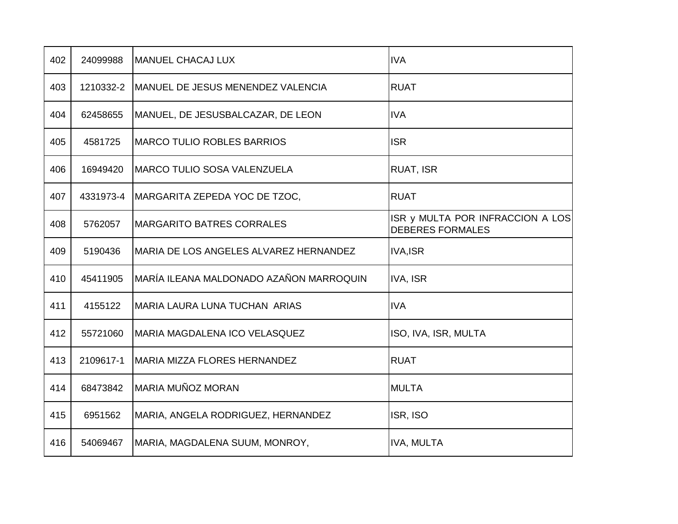| 402 | 24099988  | <b>MANUEL CHACAJ LUX</b>                | <b>IVA</b>                                                  |
|-----|-----------|-----------------------------------------|-------------------------------------------------------------|
| 403 | 1210332-2 | MANUEL DE JESUS MENENDEZ VALENCIA       | <b>RUAT</b>                                                 |
| 404 | 62458655  | MANUEL, DE JESUSBALCAZAR, DE LEON       | <b>IVA</b>                                                  |
| 405 | 4581725   | <b>MARCO TULIO ROBLES BARRIOS</b>       | <b>ISR</b>                                                  |
| 406 | 16949420  | <b>MARCO TULIO SOSA VALENZUELA</b>      | RUAT, ISR                                                   |
| 407 | 4331973-4 | MARGARITA ZEPEDA YOC DE TZOC,           | <b>RUAT</b>                                                 |
| 408 | 5762057   | <b>MARGARITO BATRES CORRALES</b>        | ISR y MULTA POR INFRACCION A LOS<br><b>DEBERES FORMALES</b> |
| 409 | 5190436   | MARIA DE LOS ANGELES ALVAREZ HERNANDEZ  | <b>IVA,ISR</b>                                              |
| 410 | 45411905  | MARÍA ILEANA MALDONADO AZAÑON MARROQUIN | <b>IVA, ISR</b>                                             |
| 411 | 4155122   | MARIA LAURA LUNA TUCHAN ARIAS           | <b>IVA</b>                                                  |
| 412 | 55721060  | MARIA MAGDALENA ICO VELASQUEZ           | ISO, IVA, ISR, MULTA                                        |
| 413 | 2109617-1 | MARIA MIZZA FLORES HERNANDEZ            | <b>RUAT</b>                                                 |
| 414 | 68473842  | MARIA MUÑOZ MORAN                       | <b>MULTA</b>                                                |
| 415 | 6951562   | MARIA, ANGELA RODRIGUEZ, HERNANDEZ      | ISR, ISO                                                    |
| 416 | 54069467  | MARIA, MAGDALENA SUUM, MONROY,          | <b>IVA, MULTA</b>                                           |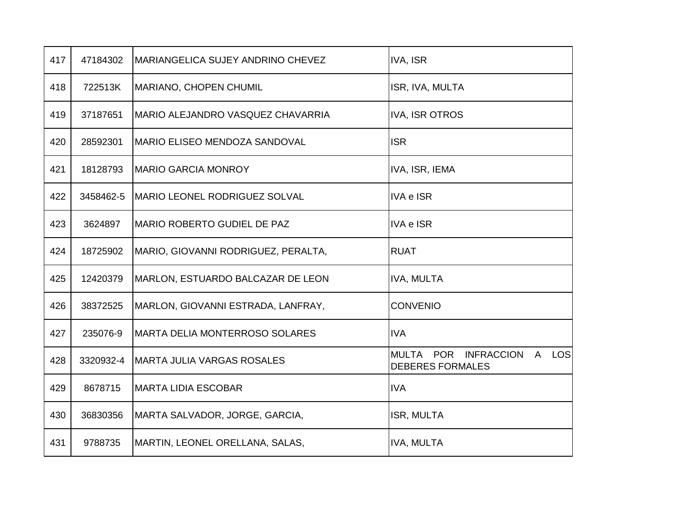| 417 | 47184302  | MARIANGELICA SUJEY ANDRINO CHEVEZ     | IVA, ISR                                                           |
|-----|-----------|---------------------------------------|--------------------------------------------------------------------|
| 418 | 722513K   | MARIANO, CHOPEN CHUMIL                | ISR, IVA, MULTA                                                    |
| 419 | 37187651  | MARIO ALEJANDRO VASQUEZ CHAVARRIA     | <b>IVA, ISR OTROS</b>                                              |
| 420 | 28592301  | MARIO ELISEO MENDOZA SANDOVAL         | <b>ISR</b>                                                         |
| 421 | 18128793  | <b>MARIO GARCIA MONROY</b>            | IVA, ISR, IEMA                                                     |
| 422 | 3458462-5 | <b>MARIO LEONEL RODRIGUEZ SOLVAL</b>  | <b>IVA e ISR</b>                                                   |
| 423 | 3624897   | <b>MARIO ROBERTO GUDIEL DE PAZ</b>    | <b>IVA e ISR</b>                                                   |
| 424 | 18725902  | MARIO, GIOVANNI RODRIGUEZ, PERALTA,   | <b>RUAT</b>                                                        |
| 425 | 12420379  | MARLON, ESTUARDO BALCAZAR DE LEON     | IVA, MULTA                                                         |
| 426 | 38372525  | MARLON, GIOVANNI ESTRADA, LANFRAY,    | <b>CONVENIO</b>                                                    |
| 427 | 235076-9  | <b>MARTA DELIA MONTERROSO SOLARES</b> | <b>IVA</b>                                                         |
| 428 | 3320932-4 | <b>MARTA JULIA VARGAS ROSALES</b>     | POR INFRACCION<br>A LOS<br><b>MULTA</b><br><b>DEBERES FORMALES</b> |
| 429 | 8678715   | <b>MARTA LIDIA ESCOBAR</b>            | <b>IVA</b>                                                         |
| 430 | 36830356  | MARTA SALVADOR, JORGE, GARCIA,        | ISR, MULTA                                                         |
| 431 | 9788735   | MARTIN, LEONEL ORELLANA, SALAS,       | <b>IVA, MULTA</b>                                                  |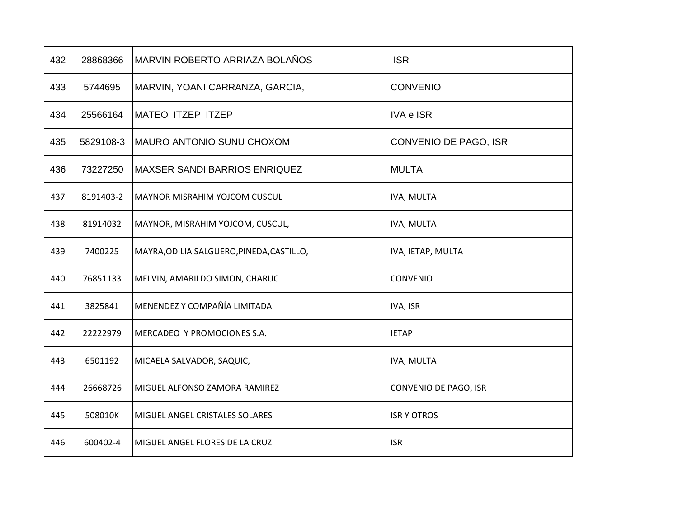| 432 | 28868366  | MARVIN ROBERTO ARRIAZA BOLAÑOS            | <b>ISR</b>            |
|-----|-----------|-------------------------------------------|-----------------------|
| 433 | 5744695   | MARVIN, YOANI CARRANZA, GARCIA,           | <b>CONVENIO</b>       |
| 434 | 25566164  | IMATEO ITZEP ITZEP                        | <b>IVA e ISR</b>      |
| 435 | 5829108-3 | IMAURO ANTONIO SUNU CHOXOM                | CONVENIO DE PAGO, ISR |
| 436 | 73227250  | IMAXSER SANDI BARRIOS ENRIQUEZ            | <b>MULTA</b>          |
| 437 | 8191403-2 | MAYNOR MISRAHIM YOJCOM CUSCUL             | IVA, MULTA            |
| 438 | 81914032  | MAYNOR, MISRAHIM YOJCOM, CUSCUL,          | IVA, MULTA            |
| 439 | 7400225   | MAYRA, ODILIA SALGUERO, PINEDA, CASTILLO, | IVA, IETAP, MULTA     |
| 440 | 76851133  | MELVIN, AMARILDO SIMON, CHARUC            | <b>CONVENIO</b>       |
| 441 | 3825841   | MENENDEZ Y COMPAÑÍA LIMITADA              | IVA, ISR              |
| 442 | 22222979  | MERCADEO Y PROMOCIONES S.A.               | <b>IETAP</b>          |
| 443 | 6501192   | MICAELA SALVADOR, SAQUIC,                 | IVA, MULTA            |
| 444 | 26668726  | MIGUEL ALFONSO ZAMORA RAMIREZ             | CONVENIO DE PAGO, ISR |
| 445 | 508010K   | MIGUEL ANGEL CRISTALES SOLARES            | <b>ISR Y OTROS</b>    |
| 446 | 600402-4  | MIGUEL ANGEL FLORES DE LA CRUZ            | <b>ISR</b>            |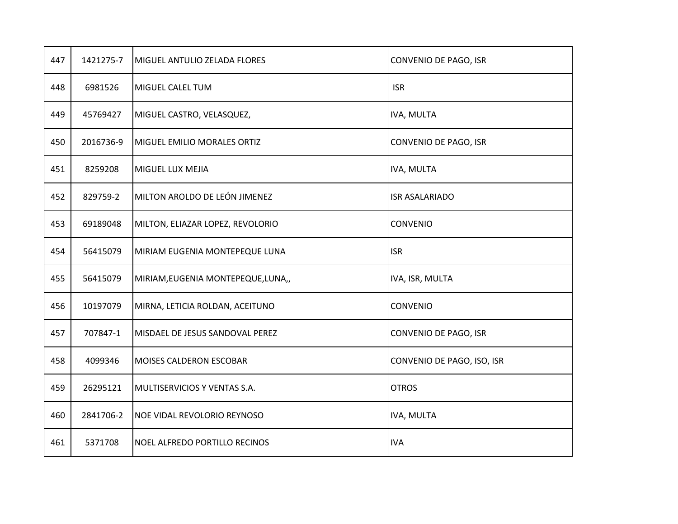| 447 | 1421275-7 | MIGUEL ANTULIO ZELADA FLORES       | CONVENIO DE PAGO, ISR      |
|-----|-----------|------------------------------------|----------------------------|
| 448 | 6981526   | MIGUEL CALEL TUM                   | <b>ISR</b>                 |
| 449 | 45769427  | MIGUEL CASTRO, VELASQUEZ,          | IVA, MULTA                 |
| 450 | 2016736-9 | MIGUEL EMILIO MORALES ORTIZ        | CONVENIO DE PAGO, ISR      |
| 451 | 8259208   | MIGUEL LUX MEJIA                   | IVA, MULTA                 |
| 452 | 829759-2  | MILTON AROLDO DE LEÓN JIMENEZ      | <b>ISR ASALARIADO</b>      |
| 453 | 69189048  | MILTON, ELIAZAR LOPEZ, REVOLORIO   | <b>CONVENIO</b>            |
| 454 | 56415079  | MIRIAM EUGENIA MONTEPEQUE LUNA     | <b>ISR</b>                 |
| 455 | 56415079  | MIRIAM, EUGENIA MONTEPEQUE, LUNA,, | IVA, ISR, MULTA            |
| 456 | 10197079  | MIRNA, LETICIA ROLDAN, ACEITUNO    | CONVENIO                   |
| 457 | 707847-1  | MISDAEL DE JESUS SANDOVAL PEREZ    | CONVENIO DE PAGO, ISR      |
| 458 | 4099346   | <b>MOISES CALDERON ESCOBAR</b>     | CONVENIO DE PAGO, ISO, ISR |
| 459 | 26295121  | MULTISERVICIOS Y VENTAS S.A.       | <b>OTROS</b>               |
| 460 | 2841706-2 | NOE VIDAL REVOLORIO REYNOSO        | IVA, MULTA                 |
| 461 | 5371708   | NOEL ALFREDO PORTILLO RECINOS      | <b>IVA</b>                 |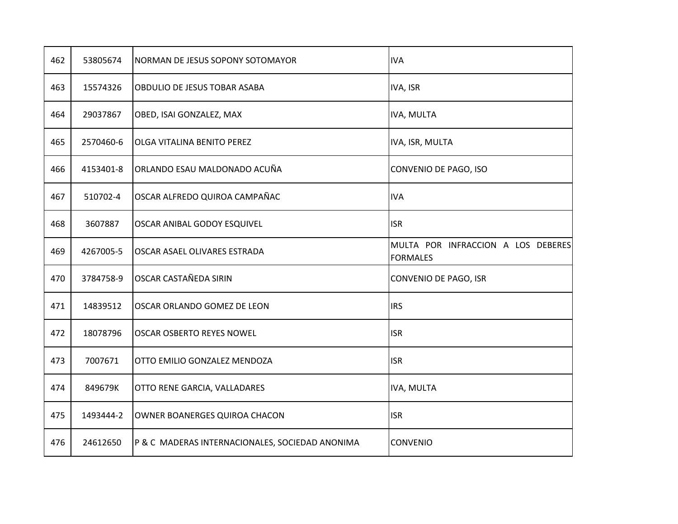| 462 | 53805674  | NORMAN DE JESUS SOPONY SOTOMAYOR                | <b>IVA</b>                                            |
|-----|-----------|-------------------------------------------------|-------------------------------------------------------|
| 463 | 15574326  | OBDULIO DE JESUS TOBAR ASABA                    | IVA, ISR                                              |
| 464 | 29037867  | OBED, ISAI GONZALEZ, MAX                        | IVA, MULTA                                            |
| 465 | 2570460-6 | OLGA VITALINA BENITO PEREZ                      | IVA, ISR, MULTA                                       |
| 466 | 4153401-8 | ORLANDO ESAU MALDONADO ACUÑA                    | CONVENIO DE PAGO, ISO                                 |
| 467 | 510702-4  | OSCAR ALFREDO QUIROA CAMPAÑAC                   | <b>IVA</b>                                            |
| 468 | 3607887   | OSCAR ANIBAL GODOY ESQUIVEL                     | <b>ISR</b>                                            |
| 469 | 4267005-5 | OSCAR ASAEL OLIVARES ESTRADA                    | MULTA POR INFRACCION A LOS DEBERES<br><b>FORMALES</b> |
| 470 | 3784758-9 | OSCAR CASTAÑEDA SIRIN                           | CONVENIO DE PAGO, ISR                                 |
| 471 | 14839512  | OSCAR ORLANDO GOMEZ DE LEON                     | <b>IRS</b>                                            |
| 472 | 18078796  | OSCAR OSBERTO REYES NOWEL                       | <b>ISR</b>                                            |
| 473 | 7007671   | OTTO EMILIO GONZALEZ MENDOZA                    | <b>ISR</b>                                            |
| 474 | 849679K   | OTTO RENE GARCIA, VALLADARES                    | <b>IVA, MULTA</b>                                     |
| 475 | 1493444-2 | OWNER BOANERGES QUIROA CHACON                   | <b>ISR</b>                                            |
| 476 | 24612650  | P & C MADERAS INTERNACIONALES, SOCIEDAD ANONIMA | <b>CONVENIO</b>                                       |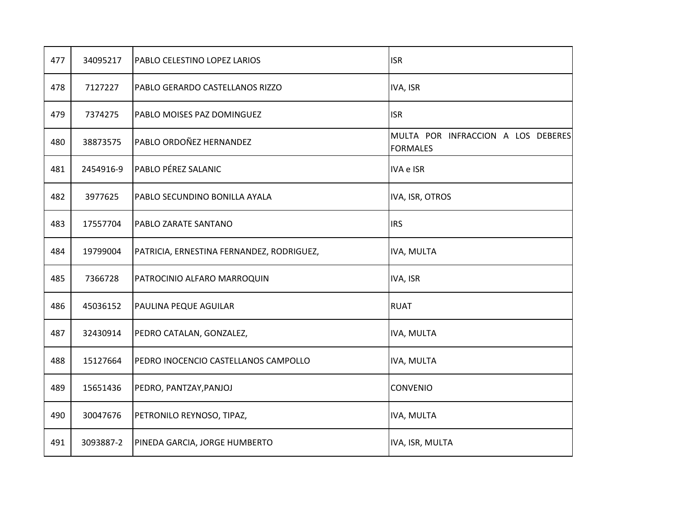| 477 | 34095217  | PABLO CELESTINO LOPEZ LARIOS              | <b>ISR</b>                                            |
|-----|-----------|-------------------------------------------|-------------------------------------------------------|
| 478 | 7127227   | PABLO GERARDO CASTELLANOS RIZZO           | IVA, ISR                                              |
| 479 | 7374275   | PABLO MOISES PAZ DOMINGUEZ                | <b>ISR</b>                                            |
| 480 | 38873575  | PABLO ORDOÑEZ HERNANDEZ                   | MULTA POR INFRACCION A LOS DEBERES<br><b>FORMALES</b> |
| 481 | 2454916-9 | PABLO PÉREZ SALANIC                       | IVA e ISR                                             |
| 482 | 3977625   | PABLO SECUNDINO BONILLA AYALA             | IVA, ISR, OTROS                                       |
| 483 | 17557704  | PABLO ZARATE SANTANO                      | <b>IRS</b>                                            |
| 484 | 19799004  | PATRICIA, ERNESTINA FERNANDEZ, RODRIGUEZ, | IVA, MULTA                                            |
| 485 | 7366728   | PATROCINIO ALFARO MARROQUIN               | IVA, ISR                                              |
| 486 | 45036152  | PAULINA PEQUE AGUILAR                     | <b>RUAT</b>                                           |
| 487 | 32430914  | PEDRO CATALAN, GONZALEZ,                  | IVA, MULTA                                            |
| 488 | 15127664  | PEDRO INOCENCIO CASTELLANOS CAMPOLLO      | IVA, MULTA                                            |
| 489 | 15651436  | PEDRO, PANTZAY, PANJOJ                    | CONVENIO                                              |
| 490 | 30047676  | PETRONILO REYNOSO, TIPAZ,                 | IVA, MULTA                                            |
| 491 | 3093887-2 | PINEDA GARCIA, JORGE HUMBERTO             | IVA, ISR, MULTA                                       |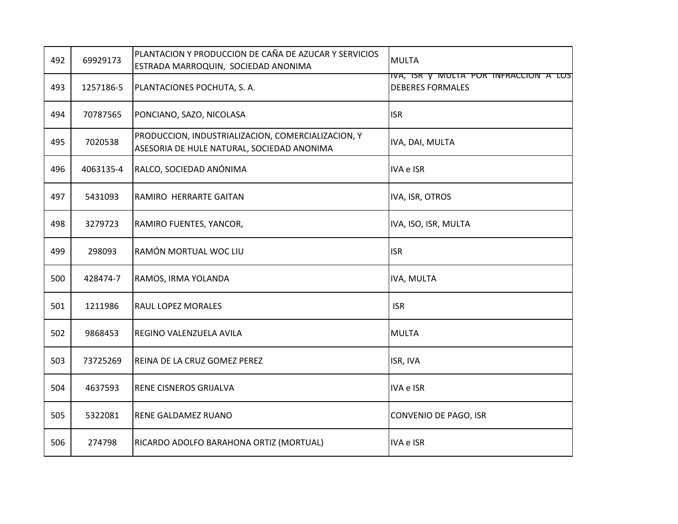| 492 | 69929173  | PLANTACION Y PRODUCCION DE CAÑA DE AZUCAR Y SERVICIOS<br>ESTRADA MARROQUIN, SOCIEDAD ANONIMA     | <b>MULTA</b>                                                     |
|-----|-----------|--------------------------------------------------------------------------------------------------|------------------------------------------------------------------|
| 493 | 1257186-5 | PLANTACIONES POCHUTA, S. A.                                                                      | IVA, ISK Y MULTA PUR INFRACCION A LUS<br><b>DEBERES FORMALES</b> |
| 494 | 70787565  | PONCIANO, SAZO, NICOLASA                                                                         | <b>ISR</b>                                                       |
| 495 | 7020538   | PRODUCCION, INDUSTRIALIZACION, COMERCIALIZACION, Y<br>ASESORIA DE HULE NATURAL, SOCIEDAD ANONIMA | IVA, DAI, MULTA                                                  |
| 496 | 4063135-4 | RALCO, SOCIEDAD ANÓNIMA                                                                          | IVA e ISR                                                        |
| 497 | 5431093   | RAMIRO HERRARTE GAITAN                                                                           | IVA, ISR, OTROS                                                  |
| 498 | 3279723   | RAMIRO FUENTES, YANCOR,                                                                          | IVA, ISO, ISR, MULTA                                             |
| 499 | 298093    | RAMÓN MORTUAL WOC LIU                                                                            | <b>ISR</b>                                                       |
| 500 | 428474-7  | RAMOS, IRMA YOLANDA                                                                              | IVA, MULTA                                                       |
| 501 | 1211986   | RAUL LOPEZ MORALES                                                                               | <b>ISR</b>                                                       |
| 502 | 9868453   | REGINO VALENZUELA AVILA                                                                          | <b>MULTA</b>                                                     |
| 503 | 73725269  | REINA DE LA CRUZ GOMEZ PEREZ                                                                     | ISR, IVA                                                         |
| 504 | 4637593   | RENE CISNEROS GRIJALVA                                                                           | IVA e ISR                                                        |
| 505 | 5322081   | RENE GALDAMEZ RUANO                                                                              | CONVENIO DE PAGO, ISR                                            |
| 506 | 274798    | RICARDO ADOLFO BARAHONA ORTIZ (MORTUAL)                                                          | IVA e ISR                                                        |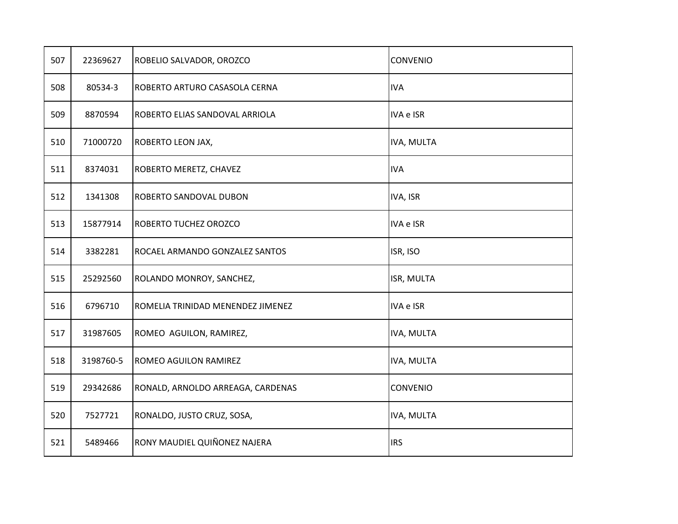| 507 | 22369627  | ROBELIO SALVADOR, OROZCO          | CONVENIO        |
|-----|-----------|-----------------------------------|-----------------|
| 508 | 80534-3   | ROBERTO ARTURO CASASOLA CERNA     | <b>IVA</b>      |
| 509 | 8870594   | ROBERTO ELIAS SANDOVAL ARRIOLA    | IVA e ISR       |
| 510 | 71000720  | ROBERTO LEON JAX,                 | IVA, MULTA      |
| 511 | 8374031   | ROBERTO MERETZ, CHAVEZ            | <b>IVA</b>      |
| 512 | 1341308   | ROBERTO SANDOVAL DUBON            | IVA, ISR        |
| 513 | 15877914  | <b>ROBERTO TUCHEZ OROZCO</b>      | IVA e ISR       |
| 514 | 3382281   | ROCAEL ARMANDO GONZALEZ SANTOS    | ISR, ISO        |
| 515 | 25292560  | ROLANDO MONROY, SANCHEZ,          | ISR, MULTA      |
| 516 | 6796710   | ROMELIA TRINIDAD MENENDEZ JIMENEZ | IVA e ISR       |
| 517 | 31987605  | ROMEO AGUILON, RAMIREZ,           | IVA, MULTA      |
| 518 | 3198760-5 | ROMEO AGUILON RAMIREZ             | IVA, MULTA      |
| 519 | 29342686  | RONALD, ARNOLDO ARREAGA, CARDENAS | <b>CONVENIO</b> |
| 520 | 7527721   | RONALDO, JUSTO CRUZ, SOSA,        | IVA, MULTA      |
| 521 | 5489466   | RONY MAUDIEL QUIÑONEZ NAJERA      | <b>IRS</b>      |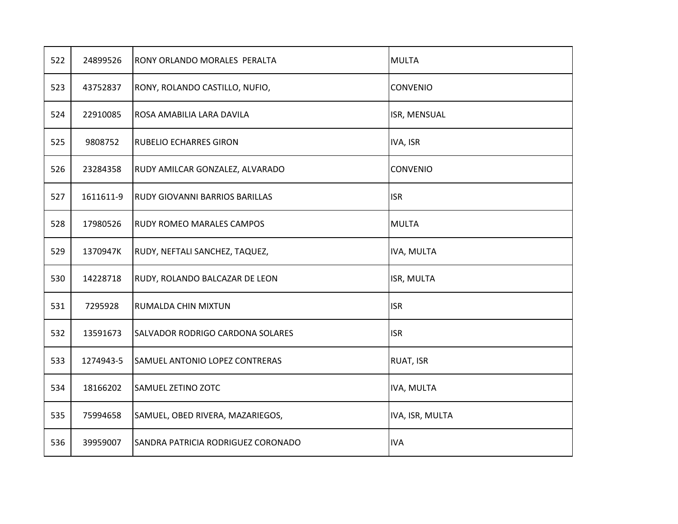| 522 | 24899526  | RONY ORLANDO MORALES PERALTA       | <b>MULTA</b>    |
|-----|-----------|------------------------------------|-----------------|
| 523 | 43752837  | RONY, ROLANDO CASTILLO, NUFIO,     | <b>CONVENIO</b> |
| 524 | 22910085  | ROSA AMABILIA LARA DAVILA          | ISR, MENSUAL    |
| 525 | 9808752   | RUBELIO ECHARRES GIRON             | IVA, ISR        |
| 526 | 23284358  | RUDY AMILCAR GONZALEZ, ALVARADO    | <b>CONVENIO</b> |
| 527 | 1611611-9 | RUDY GIOVANNI BARRIOS BARILLAS     | <b>ISR</b>      |
| 528 | 17980526  | RUDY ROMEO MARALES CAMPOS          | <b>MULTA</b>    |
| 529 | 1370947K  | RUDY, NEFTALI SANCHEZ, TAQUEZ,     | IVA, MULTA      |
| 530 | 14228718  | RUDY, ROLANDO BALCAZAR DE LEON     | ISR, MULTA      |
| 531 | 7295928   | RUMALDA CHIN MIXTUN                | <b>ISR</b>      |
| 532 | 13591673  | SALVADOR RODRIGO CARDONA SOLARES   | <b>ISR</b>      |
| 533 | 1274943-5 | SAMUEL ANTONIO LOPEZ CONTRERAS     | RUAT, ISR       |
| 534 | 18166202  | SAMUEL ZETINO ZOTC                 | IVA, MULTA      |
| 535 | 75994658  | SAMUEL, OBED RIVERA, MAZARIEGOS,   | IVA, ISR, MULTA |
| 536 | 39959007  | SANDRA PATRICIA RODRIGUEZ CORONADO | <b>IVA</b>      |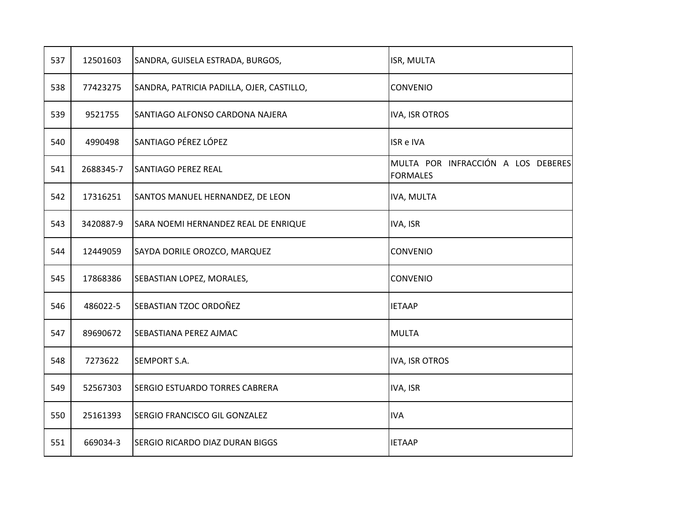| 537 | 12501603  | SANDRA, GUISELA ESTRADA, BURGOS,          | ISR, MULTA                                            |
|-----|-----------|-------------------------------------------|-------------------------------------------------------|
| 538 | 77423275  | SANDRA, PATRICIA PADILLA, OJER, CASTILLO, | CONVENIO                                              |
| 539 | 9521755   | SANTIAGO ALFONSO CARDONA NAJERA           | IVA, ISR OTROS                                        |
| 540 | 4990498   | SANTIAGO PÉREZ LÓPEZ                      | <b>ISR e IVA</b>                                      |
| 541 | 2688345-7 | <b>SANTIAGO PEREZ REAL</b>                | MULTA POR INFRACCIÓN A LOS DEBERES<br><b>FORMALES</b> |
| 542 | 17316251  | SANTOS MANUEL HERNANDEZ, DE LEON          | IVA, MULTA                                            |
| 543 | 3420887-9 | SARA NOEMI HERNANDEZ REAL DE ENRIQUE      | IVA, ISR                                              |
| 544 | 12449059  | SAYDA DORILE OROZCO, MARQUEZ              | CONVENIO                                              |
| 545 | 17868386  | SEBASTIAN LOPEZ, MORALES,                 | CONVENIO                                              |
| 546 | 486022-5  | SEBASTIAN TZOC ORDOÑEZ                    | <b>IETAAP</b>                                         |
| 547 | 89690672  | SEBASTIANA PEREZ AJMAC                    | <b>MULTA</b>                                          |
| 548 | 7273622   | <b>SEMPORT S.A.</b>                       | <b>IVA, ISR OTROS</b>                                 |
| 549 | 52567303  | <b>SERGIO ESTUARDO TORRES CABRERA</b>     | IVA, ISR                                              |
| 550 | 25161393  | <b>SERGIO FRANCISCO GIL GONZALEZ</b>      | <b>IVA</b>                                            |
| 551 | 669034-3  | <b>SERGIO RICARDO DIAZ DURAN BIGGS</b>    | <b>IETAAP</b>                                         |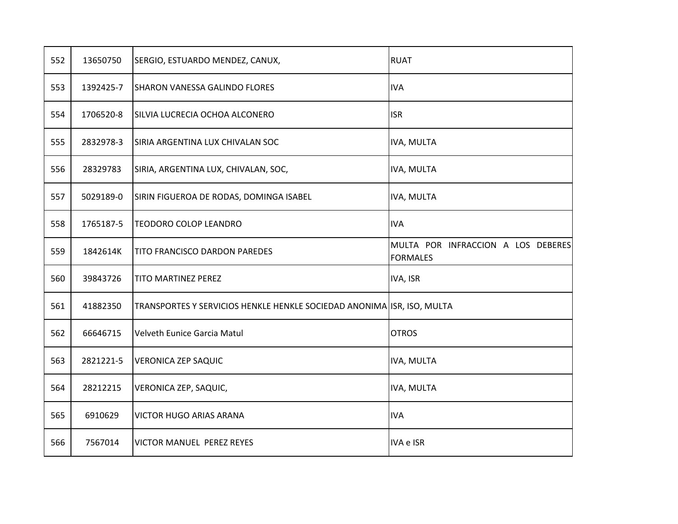| 552 | 13650750  | SERGIO, ESTUARDO MENDEZ, CANUX,                                        | <b>RUAT</b>                                           |
|-----|-----------|------------------------------------------------------------------------|-------------------------------------------------------|
| 553 | 1392425-7 | SHARON VANESSA GALINDO FLORES                                          | <b>IVA</b>                                            |
| 554 | 1706520-8 | SILVIA LUCRECIA OCHOA ALCONERO                                         | <b>ISR</b>                                            |
| 555 | 2832978-3 | SIRIA ARGENTINA LUX CHIVALAN SOC                                       | IVA, MULTA                                            |
| 556 | 28329783  | SIRIA, ARGENTINA LUX, CHIVALAN, SOC,                                   | IVA, MULTA                                            |
| 557 | 5029189-0 | SIRIN FIGUEROA DE RODAS, DOMINGA ISABEL                                | IVA, MULTA                                            |
| 558 | 1765187-5 | <b>TEODORO COLOP LEANDRO</b>                                           | <b>IVA</b>                                            |
| 559 | 1842614K  | TITO FRANCISCO DARDON PAREDES                                          | MULTA POR INFRACCION A LOS DEBERES<br><b>FORMALES</b> |
| 560 | 39843726  | <b>TITO MARTINEZ PEREZ</b>                                             | IVA, ISR                                              |
| 561 | 41882350  | TRANSPORTES Y SERVICIOS HENKLE HENKLE SOCIEDAD ANONIMA ISR, ISO, MULTA |                                                       |
| 562 | 66646715  | <b>Velveth Eunice Garcia Matul</b>                                     | <b>OTROS</b>                                          |
| 563 | 2821221-5 | <b>VERONICA ZEP SAQUIC</b>                                             | IVA, MULTA                                            |
| 564 | 28212215  | VERONICA ZEP, SAQUIC,                                                  | IVA, MULTA                                            |
| 565 | 6910629   | <b>VICTOR HUGO ARIAS ARANA</b>                                         | <b>IVA</b>                                            |
| 566 | 7567014   | VICTOR MANUEL PEREZ REYES                                              | IVA e ISR                                             |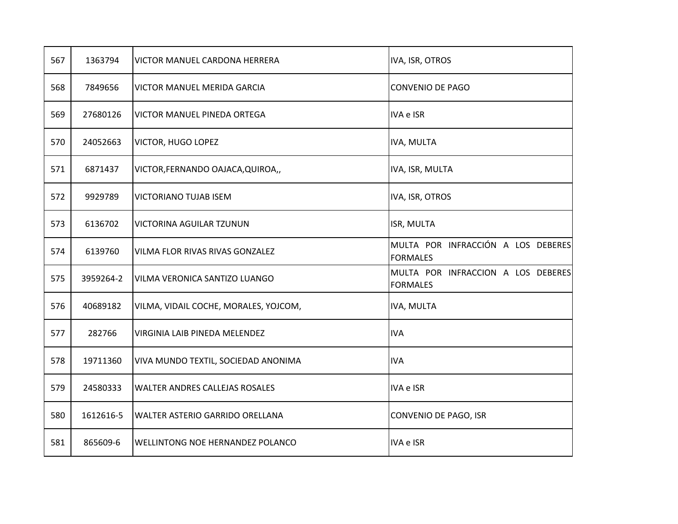| 567 | 1363794   | VICTOR MANUEL CARDONA HERRERA         | IVA, ISR, OTROS                                       |
|-----|-----------|---------------------------------------|-------------------------------------------------------|
| 568 | 7849656   | VICTOR MANUEL MERIDA GARCIA           | CONVENIO DE PAGO                                      |
| 569 | 27680126  | VICTOR MANUEL PINEDA ORTEGA           | <b>IVA e ISR</b>                                      |
| 570 | 24052663  | VICTOR, HUGO LOPEZ                    | IVA, MULTA                                            |
| 571 | 6871437   | VICTOR, FERNANDO OAJACA, QUIROA,,     | IVA, ISR, MULTA                                       |
| 572 | 9929789   | VICTORIANO TUJAB ISEM                 | IVA, ISR, OTROS                                       |
| 573 | 6136702   | VICTORINA AGUILAR TZUNUN              | ISR, MULTA                                            |
| 574 | 6139760   | VILMA FLOR RIVAS RIVAS GONZALEZ       | MULTA POR INFRACCIÓN A LOS DEBERES<br><b>FORMALES</b> |
| 575 | 3959264-2 | VILMA VERONICA SANTIZO LUANGO         | MULTA POR INFRACCION A LOS DEBERES<br><b>FORMALES</b> |
| 576 | 40689182  | VILMA, VIDAIL COCHE, MORALES, YOJCOM, | IVA, MULTA                                            |
| 577 | 282766    | VIRGINIA LAIB PINEDA MELENDEZ         | <b>IVA</b>                                            |
| 578 | 19711360  | VIVA MUNDO TEXTIL, SOCIEDAD ANONIMA   | <b>IVA</b>                                            |
| 579 | 24580333  | WALTER ANDRES CALLEJAS ROSALES        | IVA e ISR                                             |
| 580 | 1612616-5 | WALTER ASTERIO GARRIDO ORELLANA       | CONVENIO DE PAGO, ISR                                 |
| 581 | 865609-6  | WELLINTONG NOE HERNANDEZ POLANCO      | IVA e ISR                                             |